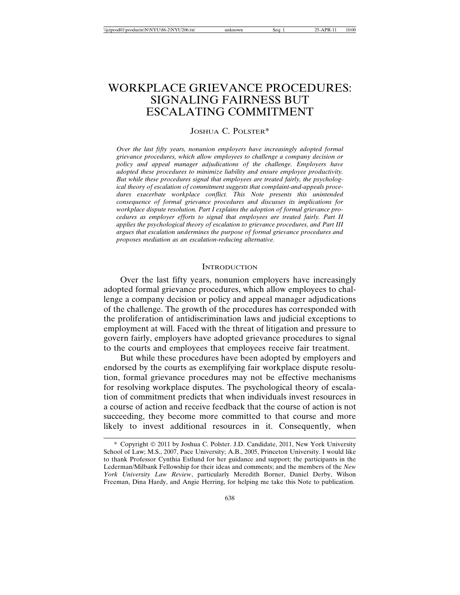# WORKPLACE GRIEVANCE PROCEDURES: SIGNALING FAIRNESS BUT ESCALATING COMMITMENT

# JOSHUA C. POLSTER\*

*Over the last fifty years, nonunion employers have increasingly adopted formal grievance procedures, which allow employees to challenge a company decision or policy and appeal manager adjudications of the challenge. Employers have adopted these procedures to minimize liability and ensure employee productivity. But while these procedures signal that employees are treated fairly, the psychological theory of escalation of commitment suggests that complaint-and-appeals procedures exacerbate workplace conflict. This Note presents this unintended consequence of formal grievance procedures and discusses its implications for workplace dispute resolution. Part I explains the adoption of formal grievance procedures as employer efforts to signal that employees are treated fairly. Part II applies the psychological theory of escalation to grievance procedures, and Part III argues that escalation undermines the purpose of formal grievance procedures and proposes mediation as an escalation-reducing alternative.*

### **INTRODUCTION**

Over the last fifty years, nonunion employers have increasingly adopted formal grievance procedures, which allow employees to challenge a company decision or policy and appeal manager adjudications of the challenge. The growth of the procedures has corresponded with the proliferation of antidiscrimination laws and judicial exceptions to employment at will. Faced with the threat of litigation and pressure to govern fairly, employers have adopted grievance procedures to signal to the courts and employees that employees receive fair treatment.

But while these procedures have been adopted by employers and endorsed by the courts as exemplifying fair workplace dispute resolution, formal grievance procedures may not be effective mechanisms for resolving workplace disputes. The psychological theory of escalation of commitment predicts that when individuals invest resources in a course of action and receive feedback that the course of action is not succeeding, they become more committed to that course and more likely to invest additional resources in it. Consequently, when

<sup>\*</sup> Copyright 2011 by Joshua C. Polster. J.D. Candidate, 2011, New York University School of Law; M.S., 2007, Pace University; A.B., 2005, Princeton University. I would like to thank Professor Cynthia Estlund for her guidance and support; the participants in the Lederman/Milbank Fellowship for their ideas and comments; and the members of the *New York University Law Review*, particularly Meredith Borner, Daniel Derby, Wilson Freeman, Dina Hardy, and Angie Herring, for helping me take this Note to publication.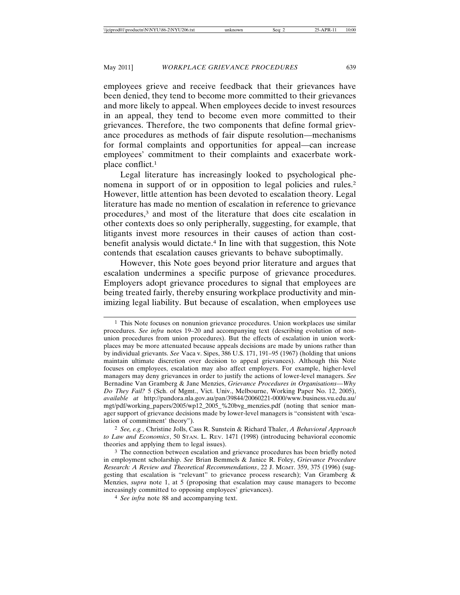employees grieve and receive feedback that their grievances have been denied, they tend to become more committed to their grievances and more likely to appeal. When employees decide to invest resources in an appeal, they tend to become even more committed to their grievances. Therefore, the two components that define formal grievance procedures as methods of fair dispute resolution—mechanisms for formal complaints and opportunities for appeal—can increase employees' commitment to their complaints and exacerbate workplace conflict.1

Legal literature has increasingly looked to psychological phenomena in support of or in opposition to legal policies and rules.2 However, little attention has been devoted to escalation theory. Legal literature has made no mention of escalation in reference to grievance procedures,3 and most of the literature that does cite escalation in other contexts does so only peripherally, suggesting, for example, that litigants invest more resources in their causes of action than costbenefit analysis would dictate.4 In line with that suggestion, this Note contends that escalation causes grievants to behave suboptimally.

However, this Note goes beyond prior literature and argues that escalation undermines a specific purpose of grievance procedures. Employers adopt grievance procedures to signal that employees are being treated fairly, thereby ensuring workplace productivity and minimizing legal liability. But because of escalation, when employees use

2 *See, e.g.*, Christine Jolls, Cass R. Sunstein & Richard Thaler, *A Behavioral Approach to Law and Economics*, 50 STAN. L. REV. 1471 (1998) (introducing behavioral economic theories and applying them to legal issues).

3 The connection between escalation and grievance procedures has been briefly noted in employment scholarship. *See* Brian Bemmels & Janice R. Foley, *Grievance Procedure Research: A Review and Theoretical Recommendations*, 22 J. MGMT. 359, 375 (1996) (suggesting that escalation is "relevant" to grievance process research); Van Gramberg & Menzies, *supra* note 1, at 5 (proposing that escalation may cause managers to become increasingly committed to opposing employees' grievances).

4 *See infra* note 88 and accompanying text.

<sup>1</sup> This Note focuses on nonunion grievance procedures. Union workplaces use similar procedures. *See infra* notes 19–20 and accompanying text (describing evolution of nonunion procedures from union procedures). But the effects of escalation in union workplaces may be more attenuated because appeals decisions are made by unions rather than by individual grievants. *See* Vaca v. Sipes, 386 U.S. 171, 191–95 (1967) (holding that unions maintain ultimate discretion over decision to appeal grievances). Although this Note focuses on employees, escalation may also affect employers. For example, higher-level managers may deny grievances in order to justify the actions of lower-level managers. *See* Bernadine Van Gramberg & Jane Menzies, *Grievance Procedures in Organisations—Why Do They Fail?* 5 (Sch. of Mgmt., Vict. Univ., Melbourne, Working Paper No. 12, 2005), *available at* http://pandora.nla.gov.au/pan/39844/20060221-0000/www.business.vu.edu.au/ mgt/pdf/working\_papers/2005/wp12\_2005\_%20bvg\_menzies.pdf (noting that senior manager support of grievance decisions made by lower-level managers is "consistent with 'escalation of commitment' theory").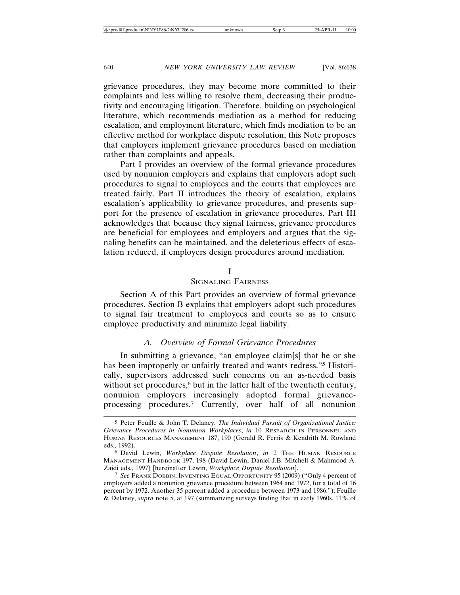grievance procedures, they may become more committed to their complaints and less willing to resolve them, decreasing their productivity and encouraging litigation. Therefore, building on psychological literature, which recommends mediation as a method for reducing escalation, and employment literature, which finds mediation to be an effective method for workplace dispute resolution, this Note proposes that employers implement grievance procedures based on mediation rather than complaints and appeals.

Part I provides an overview of the formal grievance procedures used by nonunion employers and explains that employers adopt such procedures to signal to employees and the courts that employees are treated fairly. Part II introduces the theory of escalation, explains escalation's applicability to grievance procedures, and presents support for the presence of escalation in grievance procedures. Part III acknowledges that because they signal fairness, grievance procedures are beneficial for employees and employers and argues that the signaling benefits can be maintained, and the deleterious effects of escalation reduced, if employers design procedures around mediation.

# I

SIGNALING FAIRNESS

Section A of this Part provides an overview of formal grievance procedures. Section B explains that employers adopt such procedures to signal fair treatment to employees and courts so as to ensure employee productivity and minimize legal liability.

# *A. Overview of Formal Grievance Procedures*

In submitting a grievance, "an employee claim[s] that he or she has been improperly or unfairly treated and wants redress."5 Historically, supervisors addressed such concerns on an as-needed basis without set procedures,<sup>6</sup> but in the latter half of the twentieth century, nonunion employers increasingly adopted formal grievanceprocessing procedures.7 Currently, over half of all nonunion

<sup>5</sup> Peter Feuille & John T. Delaney, *The Individual Pursuit of Organizational Justice: Grievance Procedures in Nonunion Workplaces*, *in* 10 RESEARCH IN PERSONNEL AND HUMAN RESOURCES MANAGEMENT 187, 190 (Gerald R. Ferris & Kendrith M. Rowland eds., 1992).

<sup>6</sup> David Lewin, *Workplace Dispute Resolution*, *in* 2 THE HUMAN RESOURCE MANAGEMENT HANDBOOK 197, 198 (David Lewin, Daniel J.B. Mitchell & Mahmood A. Zaidi eds., 1997) [hereinafter Lewin, *Workplace Dispute Resolution*].

<sup>7</sup> *See* FRANK DOBBIN, INVENTING EQUAL OPPORTUNITY 95 (2009) ("Only 4 percent of employers added a nonunion grievance procedure between 1964 and 1972, for a total of 16 percent by 1972. Another 35 percent added a procedure between 1973 and 1986."); Feuille & Delaney, *supra* note 5, at 197 (summarizing surveys finding that in early 1960s, 11% of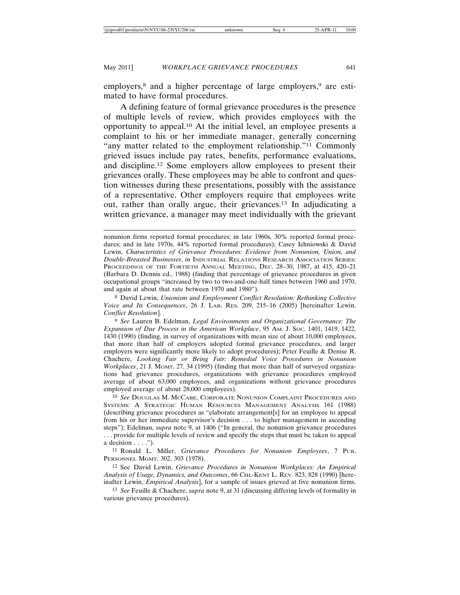employers,<sup>8</sup> and a higher percentage of large employers,<sup>9</sup> are estimated to have formal procedures.

A defining feature of formal grievance procedures is the presence of multiple levels of review, which provides employees with the opportunity to appeal.10 At the initial level, an employee presents a complaint to his or her immediate manager, generally concerning "any matter related to the employment relationship."11 Commonly grieved issues include pay rates, benefits, performance evaluations, and discipline.12 Some employers allow employees to present their grievances orally. These employees may be able to confront and question witnesses during these presentations, possibly with the assistance of a representative. Other employers require that employees write out, rather than orally argue, their grievances.13 In adjudicating a written grievance, a manager may meet individually with the grievant

9 *See* Lauren B. Edelman, *Legal Environments and Organizational Governance: The Expansion of Due Process in the American Workplace*, 95 AM. J. SOC. 1401, 1419, 1422, 1430 (1990) (finding, in survey of organizations with mean size of about 10,000 employees, that more than half of employers adopted formal grievance procedures, and larger employers were significantly more likely to adopt procedures); Peter Feuille & Denise R. Chachere, *Looking Fair or Being Fair: Remedial Voice Procedures in Nonunion Workplaces*, 21 J. MGMT. 27, 34 (1995) (finding that more than half of surveyed organizations had grievance procedures, organizations with grievance procedures employed average of about 63,000 employees, and organizations without grievance procedures employed average of about 28,000 employees).

10 *See* DOUGLAS M. MCCABE, CORPORATE NONUNION COMPLAINT PROCEDURES AND SYSTEMS: A STRATEGIC HUMAN RESOURCES MANAGEMENT ANALYSIS 161 (1988) (describing grievance procedures as "elaborate arrangement[s] for an employee to appeal from his or her immediate supervisor's decision . . . to higher management in ascending steps"); Edelman, *supra* note 9, at 1406 ("In general, the nonunion grievance procedures . . . provide for multiple levels of review and specify the steps that must be taken to appeal a decision  $\dots$ .").

11 Ronald L. Miller, *Grievance Procedures for Nonunion Employees*, 7 PUB. PERSONNEL MGMT. 302, 303 (1978).

12 See David Lewin, *Grievance Procedures in Nonunion Workplaces: An Empirical Analysis of Usage, Dynamics, and Outcomes*, 66 CHI.-KENT L. REV. 823, 828 (1990) [hereinafter Lewin, *Empirical Analysis*], for a sample of issues grieved at five nonunion firms.

13 *See* Feuille & Chachere, *supra* note 9, at 31 (discussing differing levels of formality in various grievance procedures).

nonunion firms reported formal procedures; in late 1960s, 30% reported formal procedures; and in late 1970s, 44% reported formal procedures); Casey Ichniowski & David Lewin, *Characteristics of Grievance Procedures: Evidence from Nonunion, Union, and Double-Breasted Businesses*, *in* INDUSTRIAL RELATIONS RESEARCH ASSOCIATION SERIES: PROCEEDINGS OF THE FORTIETH ANNUAL MEETING, DEC. 28–30, 1987, at 415, 420–21 (Barbara D. Dennis ed., 1988) (finding that percentage of grievance procedures in given occupational groups "increased by two to two-and-one-half times between 1960 and 1970, and again at about that rate between 1970 and 1980").

<sup>8</sup> David Lewin, *Unionism and Employment Conflict Resolution: Rethinking Collective Voice and Its Consequences*, 26 J. LAB. RES. 209, 215–16 (2005) [hereinafter Lewin, *Conflict Resolution*].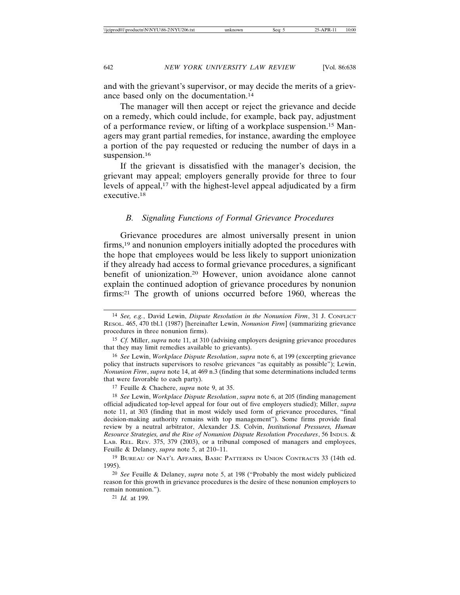and with the grievant's supervisor, or may decide the merits of a grievance based only on the documentation.14

The manager will then accept or reject the grievance and decide on a remedy, which could include, for example, back pay, adjustment of a performance review, or lifting of a workplace suspension.15 Managers may grant partial remedies, for instance, awarding the employee a portion of the pay requested or reducing the number of days in a suspension.<sup>16</sup>

If the grievant is dissatisfied with the manager's decision, the grievant may appeal; employers generally provide for three to four levels of appeal,<sup>17</sup> with the highest-level appeal adjudicated by a firm executive.18

# *B. Signaling Functions of Formal Grievance Procedures*

Grievance procedures are almost universally present in union firms,19 and nonunion employers initially adopted the procedures with the hope that employees would be less likely to support unionization if they already had access to formal grievance procedures, a significant benefit of unionization.20 However, union avoidance alone cannot explain the continued adoption of grievance procedures by nonunion firms:21 The growth of unions occurred before 1960, whereas the

17 Feuille & Chachere, *supra* note 9, at 35.

18 *See* Lewin, *Workplace Dispute Resolution*, *supra* note 6, at 205 (finding management official adjudicated top-level appeal for four out of five employers studied); Miller, *supra* note 11, at 303 (finding that in most widely used form of grievance procedures, "final decision-making authority remains with top management"). Some firms provide final review by a neutral arbitrator, Alexander J.S. Colvin, *Institutional Pressures, Human Resource Strategies, and the Rise of Nonunion Dispute Resolution Procedures*, 56 INDUS. & LAB. REL. REV. 375, 379 (2003), or a tribunal composed of managers and employees, Feuille & Delaney, *supra* note 5, at 210–11.

19 BUREAU OF NAT'L AFFAIRS, BASIC PATTERNS IN UNION CONTRACTS 33 (14th ed. 1995).

20 *See* Feuille & Delaney, *supra* note 5, at 198 ("Probably the most widely publicized reason for this growth in grievance procedures is the desire of these nonunion employers to remain nonunion.").

21 *Id.* at 199.

<sup>14</sup> *See, e.g.*, David Lewin, *Dispute Resolution in the Nonunion Firm*, 31 J. CONFLICT RESOL. 465, 470 tbl.1 (1987) [hereinafter Lewin, *Nonunion Firm*] (summarizing grievance procedures in three nonunion firms).

<sup>15</sup> *Cf.* Miller, *supra* note 11, at 310 (advising employers designing grievance procedures that they may limit remedies available to grievants).

<sup>16</sup> *See* Lewin, *Workplace Dispute Resolution*, *supra* note 6, at 199 (excerpting grievance policy that instructs supervisors to resolve grievances "as equitably as possible"); Lewin, *Nonunion Firm*, *supra* note 14, at 469 n.3 (finding that some determinations included terms that were favorable to each party).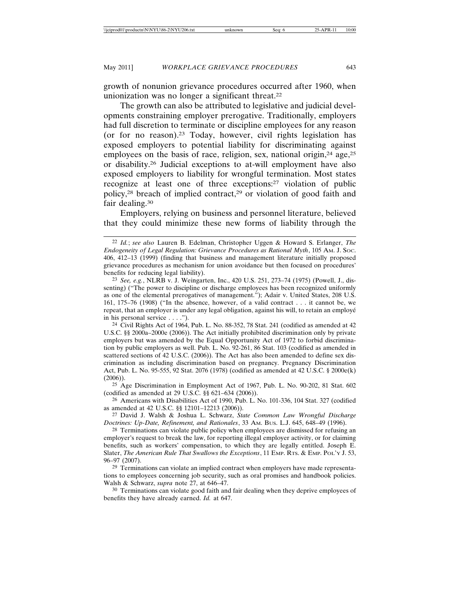growth of nonunion grievance procedures occurred after 1960, when unionization was no longer a significant threat.<sup>22</sup>

The growth can also be attributed to legislative and judicial developments constraining employer prerogative. Traditionally, employers had full discretion to terminate or discipline employees for any reason (or for no reason).23 Today, however, civil rights legislation has exposed employers to potential liability for discriminating against employees on the basis of race, religion, sex, national origin, $24$  age, $25$ or disability.26 Judicial exceptions to at-will employment have also exposed employers to liability for wrongful termination. Most states recognize at least one of three exceptions:27 violation of public policy,<sup>28</sup> breach of implied contract,<sup>29</sup> or violation of good faith and fair dealing.30

Employers, relying on business and personnel literature, believed that they could minimize these new forms of liability through the

25 Age Discrimination in Employment Act of 1967, Pub. L. No. 90-202, 81 Stat. 602 (codified as amended at 29 U.S.C. §§ 621–634 (2006)).

26 Americans with Disabilities Act of 1990, Pub. L. No. 101-336, 104 Stat. 327 (codified as amended at 42 U.S.C. §§ 12101–12213 (2006)).

27 David J. Walsh & Joshua L. Schwarz, *State Common Law Wrongful Discharge Doctrines: Up-Date, Refinement, and Rationales*, 33 AM. BUS. L.J. 645, 648–49 (1996).

<sup>28</sup> Terminations can violate public policy when employees are dismissed for refusing an employer's request to break the law, for reporting illegal employer activity, or for claiming benefits, such as workers' compensation, to which they are legally entitled. Joseph E. Slater, *The American Rule That Swallows the Exceptions*, 11 EMP. RTS. & EMP. POL'Y J. 53, 96–97 (2007).

29 Terminations can violate an implied contract when employers have made representations to employees concerning job security, such as oral promises and handbook policies. Walsh & Schwarz, *supra* note 27, at 646–47.

30 Terminations can violate good faith and fair dealing when they deprive employees of benefits they have already earned. *Id.* at 647.

<sup>22</sup> *Id.*; *see also* Lauren B. Edelman, Christopher Uggen & Howard S. Erlanger, *The Endogeneity of Legal Regulation: Grievance Procedures as Rational Myth*, 105 AM. J. SOC. 406, 412–13 (1999) (finding that business and management literature initially proposed grievance procedures as mechanism for union avoidance but then focused on procedures' benefits for reducing legal liability).

<sup>23</sup> *See, e.g.*, NLRB v. J. Weingarten, Inc., 420 U.S. 251, 273–74 (1975) (Powell, J., dissenting) ("The power to discipline or discharge employees has been recognized uniformly as one of the elemental prerogatives of management."); Adair v. United States, 208 U.S. 161, 175–76 (1908) ("In the absence, however, of a valid contract . . . it cannot be, we repeat, that an employer is under any legal obligation, against his will, to retain an employe in his personal service . . . .").

<sup>24</sup> Civil Rights Act of 1964, Pub. L. No. 88-352, 78 Stat. 241 (codified as amended at 42 U.S.C. §§ 2000a–2000e (2006)). The Act initially prohibited discrimination only by private employers but was amended by the Equal Opportunity Act of 1972 to forbid discrimination by public employers as well. Pub. L. No. 92-261, 86 Stat. 103 (codified as amended in scattered sections of 42 U.S.C. (2006)). The Act has also been amended to define sex discrimination as including discrimination based on pregnancy. Pregnancy Discrimination Act, Pub. L. No. 95-555, 92 Stat. 2076 (1978) (codified as amended at 42 U.S.C. § 2000e(k) (2006)).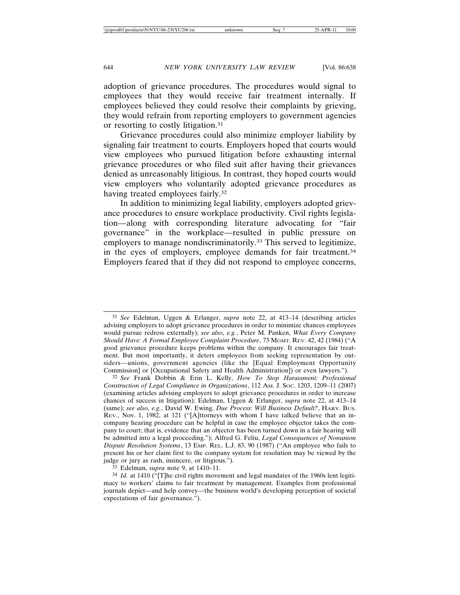adoption of grievance procedures. The procedures would signal to employees that they would receive fair treatment internally. If employees believed they could resolve their complaints by grieving, they would refrain from reporting employers to government agencies or resorting to costly litigation.31

Grievance procedures could also minimize employer liability by signaling fair treatment to courts. Employers hoped that courts would view employees who pursued litigation before exhausting internal grievance procedures or who filed suit after having their grievances denied as unreasonably litigious. In contrast, they hoped courts would view employers who voluntarily adopted grievance procedures as having treated employees fairly.32

In addition to minimizing legal liability, employers adopted grievance procedures to ensure workplace productivity. Civil rights legislation—along with corresponding literature advocating for "fair governance" in the workplace—resulted in public pressure on employers to manage nondiscriminatorily.<sup>33</sup> This served to legitimize, in the eyes of employers, employee demands for fair treatment.34 Employers feared that if they did not respond to employee concerns,

<sup>31</sup> *See* Edelman, Uggen & Erlanger, *supra* note 22, at 413–14 (describing articles advising employers to adopt grievance procedures in order to minimize chances employees would pursue redress externally); *see also, e.g.*, Peter M. Panken, *What Every Company Should Have: A Formal Employee Complaint Procedure*, 73 MGMT. REV. 42, 42 (1984) ("A good grievance procedure keeps problems within the company. It encourages fair treatment. But most importantly, it deters employees from seeking representation by outsiders—unions, government agencies (like the [Equal Employment Opportunity Commission] or [Occupational Safety and Health Administration]) or even lawyers.").

<sup>32</sup> *See* Frank Dobbin & Erin L. Kelly, *How To Stop Harassment: Professional Construction of Legal Compliance in Organizations*, 112 AM. J. SOC. 1203, 1209–11 (2007) (examining articles advising employers to adopt grievance procedures in order to increase chances of success in litigation); Edelman, Uggen & Erlanger, *supra* note 22, at 413–14 (same); *see also, e.g.*, David W. Ewing, *Due Process: Will Business Default?*, HARV. BUS. REV., Nov. 1, 1982, at 121 ("[A]ttorneys with whom I have talked believe that an incompany hearing procedure can be helpful in case the employee objector takes the company to court; that is, evidence that an objector has been turned down in a fair hearing will be admitted into a legal proceeding."); Alfred G. Feliu, *Legal Consequences of Nonunion Dispute Resolution Systems*, 13 EMP. REL. L.J. 83, 90 (1987) ("An employee who fails to present his or her claim first to the company system for resolution may be viewed by the judge or jury as rash, insincere, or litigious.").

<sup>33</sup> Edelman, *supra* note 9, at 1410–11.

<sup>34</sup> *Id.* at 1410 ("[T]he civil rights movement and legal mandates of the 1960s lent legitimacy to workers' claims to fair treatment by management. Examples from professional journals depict—and help convey—the business world's developing perception of societal expectations of fair governance.").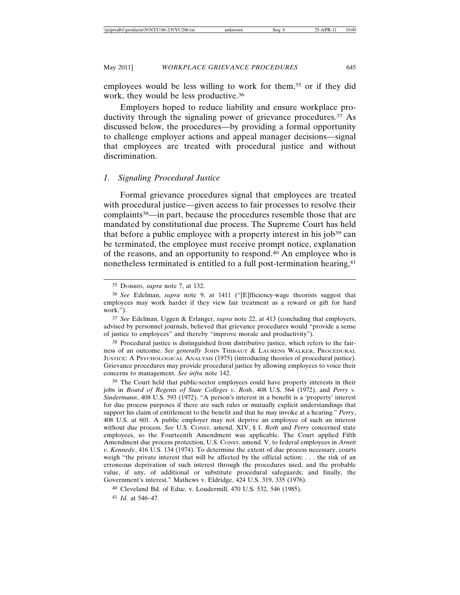May 2011] *WORKPLACE GRIEVANCE PROCEDURES* 645

employees would be less willing to work for them,<sup>35</sup> or if they did work, they would be less productive.<sup>36</sup>

Employers hoped to reduce liability and ensure workplace productivity through the signaling power of grievance procedures.<sup>37</sup> As discussed below, the procedures—by providing a formal opportunity to challenge employer actions and appeal manager decisions—signal that employees are treated with procedural justice and without discrimination.

### *1. Signaling Procedural Justice*

Formal grievance procedures signal that employees are treated with procedural justice—given access to fair processes to resolve their complaints38—in part, because the procedures resemble those that are mandated by constitutional due process. The Supreme Court has held that before a public employee with a property interest in his job<sup>39</sup> can be terminated, the employee must receive prompt notice, explanation of the reasons, and an opportunity to respond.40 An employee who is nonetheless terminated is entitled to a full post-termination hearing,<sup>41</sup>

37 *See* Edelman, Uggen & Erlanger, *supra* note 22, at 413 (concluding that employers, advised by personnel journals, believed that grievance procedures would "provide a sense of justice to employees" and thereby "improve morale and productivity").

38 Procedural justice is distinguished from distributive justice, which refers to the fairness of an outcome. *See generally* JOHN THIBAUT & LAURENS WALKER, PROCEDURAL JUSTICE: A PSYCHOLOGICAL ANALYSIS (1975) (introducing theories of procedural justice). Grievance procedures may provide procedural justice by allowing employees to voice their concerns to management. *See infra* note 142.

39 The Court held that public-sector employees could have property interests in their jobs in *Board of Regents of State Colleges v. Roth*, 408 U.S. 564 (1972), and *Perry v. Sindermann*, 408 U.S. 593 (1972). "A person's interest in a benefit is a 'property' interest for due process purposes if there are such rules or mutually explicit understandings that support his claim of entitlement to the benefit and that he may invoke at a hearing." *Perry*, 408 U.S. at 601. A public employer may not deprive an employee of such an interest without due process. *See* U.S. CONST. amend. XIV, § 1. *Roth* and *Perry* concerned state employees, so the Fourteenth Amendment was applicable. The Court applied Fifth Amendment due process protection, U.S. CONST. amend. V, to federal employees in *Arnett v. Kennedy*, 416 U.S. 134 (1974). To determine the extent of due process necessary, courts weigh "the private interest that will be affected by the official action; . . . the risk of an erroneous deprivation of such interest through the procedures used, and the probable value, if any, of additional or substitute procedural safeguards; and finally, the Government's interest." Mathews v. Eldridge, 424 U.S. 319, 335 (1976).

40 Cleveland Bd. of Educ. v. Loudermill, 470 U.S. 532, 546 (1985).

41 *Id.* at 546–47.

<sup>35</sup> DOBBIN, *supra* note 7, at 132.

<sup>36</sup> *See* Edelman, *supra* note 9, at 1411 ("[E]fficiency-wage theorists suggest that employees may work harder if they view fair treatment as a reward or gift for hard work.").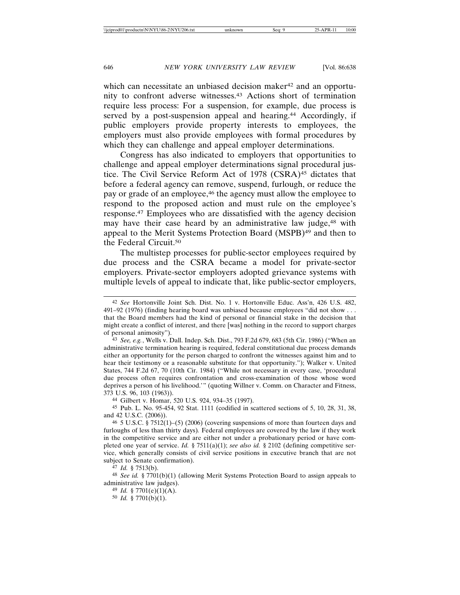which can necessitate an unbiased decision maker<sup>42</sup> and an opportunity to confront adverse witnesses.43 Actions short of termination require less process: For a suspension, for example, due process is served by a post-suspension appeal and hearing.<sup>44</sup> Accordingly, if public employers provide property interests to employees, the employers must also provide employees with formal procedures by which they can challenge and appeal employer determinations.

Congress has also indicated to employers that opportunities to challenge and appeal employer determinations signal procedural justice. The Civil Service Reform Act of 1978 (CSRA)<sup>45</sup> dictates that before a federal agency can remove, suspend, furlough, or reduce the pay or grade of an employee,46 the agency must allow the employee to respond to the proposed action and must rule on the employee's response.47 Employees who are dissatisfied with the agency decision may have their case heard by an administrative law judge,<sup>48</sup> with appeal to the Merit Systems Protection Board (MSPB)<sup>49</sup> and then to the Federal Circuit.50

The multistep processes for public-sector employees required by due process and the CSRA became a model for private-sector employers. Private-sector employers adopted grievance systems with multiple levels of appeal to indicate that, like public-sector employers,

47 *Id.* § 7513(b).

48 *See id.* § 7701(b)(1) (allowing Merit Systems Protection Board to assign appeals to administrative law judges).

49 *Id.* § 7701(e)(1)(A).

50 *Id.* § 7701(b)(1).

<sup>42</sup> *See* Hortonville Joint Sch. Dist. No. 1 v. Hortonville Educ. Ass'n, 426 U.S. 482, 491–92 (1976) (finding hearing board was unbiased because employees "did not show . . . that the Board members had the kind of personal or financial stake in the decision that might create a conflict of interest, and there [was] nothing in the record to support charges of personal animosity").

<sup>43</sup> *See, e.g.*, Wells v. Dall. Indep. Sch. Dist., 793 F.2d 679, 683 (5th Cir. 1986) ("When an administrative termination hearing is required, federal constitutional due process demands either an opportunity for the person charged to confront the witnesses against him and to hear their testimony or a reasonable substitute for that opportunity."); Walker v. United States, 744 F.2d 67, 70 (10th Cir. 1984) ("While not necessary in every case, 'procedural due process often requires confrontation and cross-examination of those whose word deprives a person of his livelihood.'" (quoting Willner v. Comm. on Character and Fitness, 373 U.S. 96, 103 (1963)).

<sup>44</sup> Gilbert v. Homar, 520 U.S. 924, 934–35 (1997).

<sup>45</sup> Pub. L. No. 95-454, 92 Stat. 1111 (codified in scattered sections of 5, 10, 28, 31, 38, and 42 U.S.C. (2006)).

<sup>46</sup> 5 U.S.C. § 7512(1)–(5) (2006) (covering suspensions of more than fourteen days and furloughs of less than thirty days)*.* Federal employees are covered by the law if they work in the competitive service and are either not under a probationary period or have completed one year of service. *Id.* § 7511(a)(1); *see also id.* § 2102 (defining competitive service, which generally consists of civil service positions in executive branch that are not subject to Senate confirmation).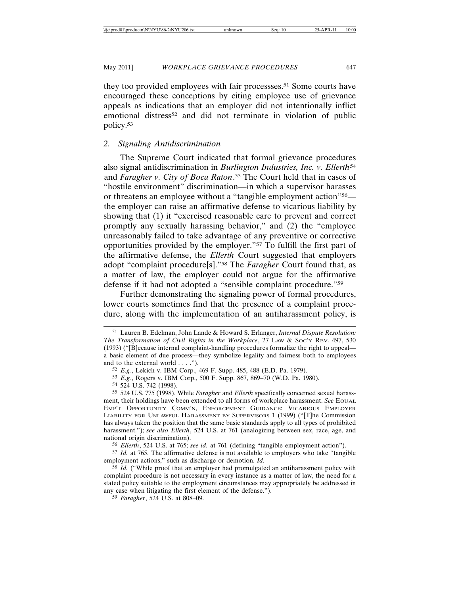they too provided employees with fair processses.51 Some courts have encouraged these conceptions by citing employee use of grievance appeals as indications that an employer did not intentionally inflict emotional distress<sup>52</sup> and did not terminate in violation of public policy.53

# *2. Signaling Antidiscrimination*

The Supreme Court indicated that formal grievance procedures also signal antidiscrimination in *Burlington Industries, Inc. v. Ellerth*<sup>54</sup> and *Faragher v. City of Boca Raton*. 55 The Court held that in cases of "hostile environment" discrimination—in which a supervisor harasses or threatens an employee without a "tangible employment action"56 the employer can raise an affirmative defense to vicarious liability by showing that (1) it "exercised reasonable care to prevent and correct promptly any sexually harassing behavior," and (2) the "employee unreasonably failed to take advantage of any preventive or corrective opportunities provided by the employer."57 To fulfill the first part of the affirmative defense, the *Ellerth* Court suggested that employers adopt "complaint procedure[s]."58 The *Faragher* Court found that, as a matter of law, the employer could not argue for the affirmative defense if it had not adopted a "sensible complaint procedure."59

Further demonstrating the signaling power of formal procedures, lower courts sometimes find that the presence of a complaint procedure, along with the implementation of an antiharassment policy, is

54 524 U.S. 742 (1998).

<sup>51</sup> Lauren B. Edelman, John Lande & Howard S. Erlanger, *Internal Dispute Resolution: The Transformation of Civil Rights in the Workplace*, 27 LAW & SOC'Y REV. 497, 530 (1993) ("[B]ecause internal complaint-handling procedures formalize the right to appeal a basic element of due process—they symbolize legality and fairness both to employees and to the external world . . . .").

<sup>52</sup> *E.g.*, Lekich v. IBM Corp., 469 F. Supp. 485, 488 (E.D. Pa. 1979).

<sup>53</sup> *E.g.*, Rogers v. IBM Corp., 500 F. Supp. 867, 869–70 (W.D. Pa. 1980).

<sup>55</sup> 524 U.S. 775 (1998). While *Faragher* and *Ellerth* specifically concerned sexual harassment, their holdings have been extended to all forms of workplace harassment. *See* EQUAL EMP'T OPPORTUNITY COMM'N, ENFORCEMENT GUIDANCE: VICARIOUS EMPLOYER LIABILITY FOR UNLAWFUL HARASSMENT BY SUPERVISORS 1 (1999) ("[T]he Commission has always taken the position that the same basic standards apply to all types of prohibited harassment."); *see also Ellerth*, 524 U.S. at 761 (analogizing between sex, race, age, and national origin discrimination).

<sup>56</sup> *Ellerth*, 524 U.S. at 765; *see id.* at 761 (defining "tangible employment action").

<sup>57</sup> *Id.* at 765. The affirmative defense is not available to employers who take "tangible employment actions," such as discharge or demotion. *Id.*

<sup>58</sup> *Id.* ("While proof that an employer had promulgated an antiharassment policy with complaint procedure is not necessary in every instance as a matter of law, the need for a stated policy suitable to the employment circumstances may appropriately be addressed in any case when litigating the first element of the defense.").

<sup>59</sup> *Faragher*, 524 U.S. at 808–09.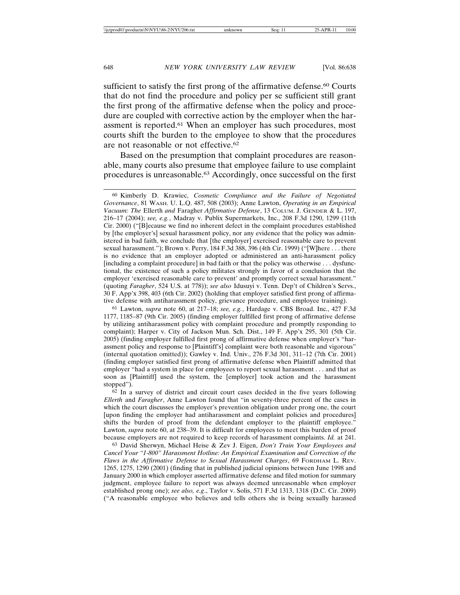sufficient to satisfy the first prong of the affirmative defense.<sup>60</sup> Courts that do not find the procedure and policy per se sufficient still grant the first prong of the affirmative defense when the policy and procedure are coupled with corrective action by the employer when the harassment is reported.61 When an employer has such procedures, most courts shift the burden to the employee to show that the procedures are not reasonable or not effective.62

Based on the presumption that complaint procedures are reasonable, many courts also presume that employee failure to use complaint procedures is unreasonable.63 Accordingly, once successful on the first

61 Lawton, *supra* note 60, at 217–18; *see, e.g.*, Hardage v. CBS Broad. Inc., 427 F.3d 1177, 1185–87 (9th Cir. 2005) (finding employer fulfilled first prong of affirmative defense by utilizing antiharassment policy with complaint procedure and promptly responding to complaint); Harper v. City of Jackson Mun. Sch. Dist., 149 F. App'x 295, 301 (5th Cir. 2005) (finding employer fulfilled first prong of affirmative defense when employer's "harassment policy and response to [Plaintiff's] complaint were both reasonable and vigorous" (internal quotation omitted)); Gawley v. Ind. Univ., 276 F.3d 301, 311–12 (7th Cir. 2001) (finding employer satisfied first prong of affirmative defense when Plaintiff admitted that employer "had a system in place for employees to report sexual harassment . . . and that as soon as [Plaintiff] used the system, the [employer] took action and the harassment stopped").

62 In a survey of district and circuit court cases decided in the five years following *Ellerth* and *Faragher*, Anne Lawton found that "in seventy-three percent of the cases in which the court discusses the employer's prevention obligation under prong one, the court [upon finding the employer had antiharassment and complaint policies and procedures] shifts the burden of proof from the defendant employer to the plaintiff employee." Lawton, *supra* note 60, at 238–39. It is difficult for employees to meet this burden of proof because employers are not required to keep records of harassment complaints. *Id.* at 241.

63 David Sherwyn, Michael Heise & Zev J. Eigen, *Don't Train Your Employees and Cancel Your "1-800" Harassment Hotline: An Empirical Examination and Correction of the Flaws in the Affirmative Defense to Sexual Harassment Charges*, 69 FORDHAM L. REV. 1265, 1275, 1290 (2001) (finding that in published judicial opinions between June 1998 and January 2000 in which employer asserted affirmative defense and filed motion for summary judgment, employee failure to report was always deemed unreasonable when employer established prong one); *see also, e.g*., Taylor v. Solis, 571 F.3d 1313, 1318 (D.C. Cir. 2009) ("A reasonable employee who believes and tells others she is being sexually harassed

<sup>60</sup> Kimberly D. Krawiec, *Cosmetic Compliance and the Failure of Negotiated Governance*, 81 WASH. U. L.Q. 487, 508 (2003); Anne Lawton, *Operating in an Empirical Vacuum: The* Ellerth *and* Faragher *Affirmative Defense*, 13 COLUM. J. GENDER & L. 197, 216–17 (2004); *see, e.g.*, Madray v. Publix Supermarkets, Inc., 208 F.3d 1290, 1299 (11th Cir. 2000) ("[B]ecause we find no inherent defect in the complaint procedures established by [the employer's] sexual harassment policy, nor any evidence that the policy was administered in bad faith, we conclude that [the employer] exercised reasonable care to prevent sexual harassment."); Brown v. Perry, 184 F.3d 388, 396 (4th Cir. 1999) ("[W]here . . . there is no evidence that an employer adopted or administered an anti-harassment policy [including a complaint procedure] in bad faith or that the policy was otherwise . . . dysfunctional, the existence of such a policy militates strongly in favor of a conclusion that the employer 'exercised reasonable care to prevent' and promptly correct sexual harassment." (quoting *Faragher*, 524 U.S. at 778)); *see also* Idusuyi v. Tenn. Dep't of Children's Servs., 30 F. App'x 398, 403 (6th Cir. 2002) (holding that employer satisfied first prong of affirmative defense with antiharassment policy, grievance procedure, and employee training).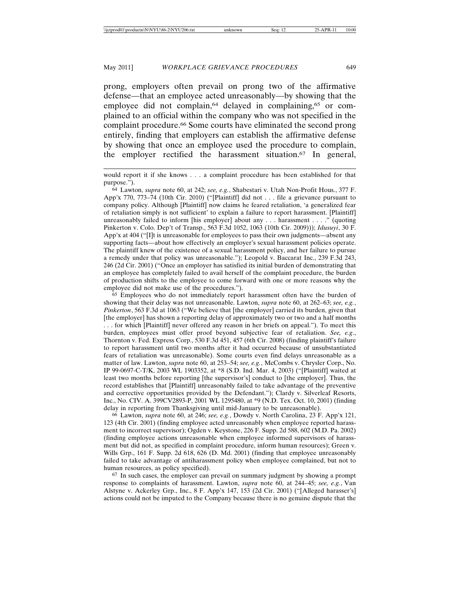#### May 2011] *WORKPLACE GRIEVANCE PROCEDURES* 649

prong, employers often prevail on prong two of the affirmative defense—that an employee acted unreasonably—by showing that the employee did not complain,<sup>64</sup> delayed in complaining,<sup>65</sup> or complained to an official within the company who was not specified in the complaint procedure.66 Some courts have eliminated the second prong entirely, finding that employers can establish the affirmative defense by showing that once an employee used the procedure to complain, the employer rectified the harassment situation.67 In general,

64 Lawton, *supra* note 60, at 242; *see, e.g.*, Shabestari v. Utah Non-Profit Hous., 377 F. App'x 770, 773–74 (10th Cir. 2010) ("[Plaintiff] did not . . . file a grievance pursuant to company policy. Although [Plaintiff] now claims he feared retaliation, 'a generalized fear of retaliation simply is not sufficient' to explain a failure to report harassment. [Plaintiff] unreasonably failed to inform [his employer] about any . . . harassment . . . ." (quoting Pinkerton v. Colo. Dep't of Transp., 563 F.3d 1052, 1063 (10th Cir. 2009))); *Idusuyi*, 30 F. App'x at 404 ("[I]t is unreasonable for employees to pass their own judgments—absent any supporting facts—about how effectively an employer's sexual harassment policies operate. The plaintiff knew of the existence of a sexual harassment policy, and her failure to pursue a remedy under that policy was unreasonable."); Leopold v. Baccarat Inc., 239 F.3d 243, 246 (2d Cir. 2001) ("Once an employer has satisfied its initial burden of demonstrating that an employee has completely failed to avail herself of the complaint procedure, the burden of production shifts to the employee to come forward with one or more reasons why the employee did not make use of the procedures.").

65 Employees who do not immediately report harassment often have the burden of showing that their delay was not unreasonable. Lawton, *supra* note 60, at 262–63; *see, e.g.*, *Pinkerton*, 563 F.3d at 1063 ("We believe that [the employer] carried its burden, given that [the employer] has shown a reporting delay of approximately two or two and a half months . . . for which [Plaintiff] never offered any reason in her briefs on appeal."). To meet this burden, employees must offer proof beyond subjective fear of retaliation. *See, e.g*., Thornton v. Fed. Express Corp., 530 F.3d 451, 457 (6th Cir. 2008) (finding plaintiff's failure to report harassment until two months after it had occurred because of unsubstantiated fears of retaliation was unreasonable). Some courts even find delays unreasonable as a matter of law. Lawton, *supra* note 60, at 253–54; *see, e.g.*, McCombs v. Chrysler Corp., No. IP 99-0697-C-T/K, 2003 WL 1903352, at \*8 (S.D. Ind. Mar. 4, 2003) ("[Plaintiff] waited at least two months before reporting [the supervisor's] conduct to [the employer]. Thus, the record establishes that [Plaintiff] unreasonably failed to take advantage of the preventive and corrective opportunities provided by the Defendant."); Clardy v. Silverleaf Resorts, Inc., No. CIV. A. 399CV2893-P, 2001 WL 1295480, at \*9 (N.D. Tex. Oct. 10, 2001) (finding delay in reporting from Thanksgiving until mid-January to be unreasonable).

66 Lawton, *supra* note 60, at 246; *see, e.g.*, Dowdy v. North Carolina, 23 F. App'x 121, 123 (4th Cir. 2001) (finding employee acted unreasonably when employee reported harassment to incorrect supervisor); Ogden v. Keystone, 226 F. Supp. 2d 588, 602 (M.D. Pa. 2002) (finding employee actions unreasonable when employee informed supervisors of harassment but did not, as specified in complaint procedure, inform human resources); Green v. Wills Grp., 161 F. Supp. 2d 618, 626 (D. Md. 2001) (finding that employee unreasonably failed to take advantage of antiharassment policy when employee complained, but not to human resources, as policy specified).

67 In such cases, the employer can prevail on summary judgment by showing a prompt response to complaints of harassment. Lawton, *supra* note 60, at 244–45; *see, e.g.*, Van Alstyne v. Ackerley Grp., Inc., 8 F. App'x 147, 153 (2d Cir. 2001) ("[Alleged harasser's] actions could not be imputed to the Company because there is no genuine dispute that the

would report it if she knows . . . a complaint procedure has been established for that purpose.").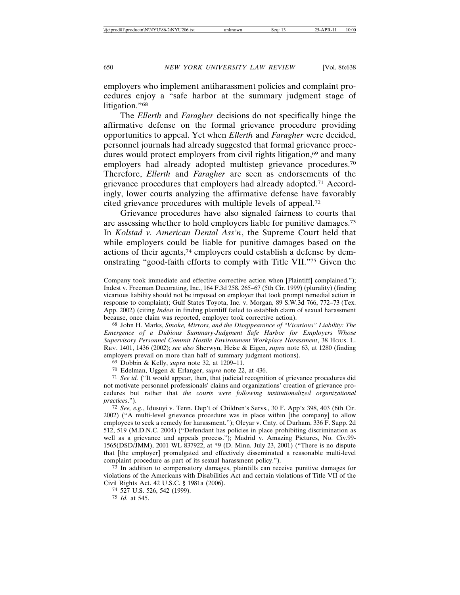employers who implement antiharassment policies and complaint procedures enjoy a "safe harbor at the summary judgment stage of litigation."68

The *Ellerth* and *Faragher* decisions do not specifically hinge the affirmative defense on the formal grievance procedure providing opportunities to appeal. Yet when *Ellerth* and *Faragher* were decided, personnel journals had already suggested that formal grievance procedures would protect employers from civil rights litigation,<sup>69</sup> and many employers had already adopted multistep grievance procedures.70 Therefore, *Ellerth* and *Faragher* are seen as endorsements of the grievance procedures that employers had already adopted.71 Accordingly, lower courts analyzing the affirmative defense have favorably cited grievance procedures with multiple levels of appeal.72

Grievance procedures have also signaled fairness to courts that are assessing whether to hold employers liable for punitive damages.73 In *Kolstad v. American Dental Ass'n*, the Supreme Court held that while employers could be liable for punitive damages based on the actions of their agents,74 employers could establish a defense by demonstrating "good-faith efforts to comply with Title VII."75 Given the

Company took immediate and effective corrective action when [Plaintiff] complained."); Indest v. Freeman Decorating, Inc., 164 F.3d 258, 265–67 (5th Cir. 1999) (plurality) (finding vicarious liability should not be imposed on employer that took prompt remedial action in response to complaint); Gulf States Toyota, Inc. v. Morgan, 89 S.W.3d 766, 772–73 (Tex. App. 2002) (citing *Indest* in finding plaintiff failed to establish claim of sexual harassment because, once claim was reported, employer took corrective action).

68 John H. Marks, *Smoke, Mirrors, and the Disappearance of "Vicarious" Liability: The Emergence of a Dubious Summary-Judgment Safe Harbor for Employers Whose Supervisory Personnel Commit Hostile Environment Workplace Harassment*, 38 HOUS. L. REV. 1401, 1436 (2002); *see also* Sherwyn, Heise & Eigen, *supra* note 63, at 1280 (finding employers prevail on more than half of summary judgment motions).

69 Dobbin & Kelly, *supra* note 32, at 1209–11.

70 Edelman, Uggen & Erlanger, *supra* note 22, at 436.

71 *See id.* ("It would appear, then, that judicial recognition of grievance procedures did not motivate personnel professionals' claims and organizations' creation of grievance procedures but rather that *the courts were following institutionalized organizational practices*.").

72 *See, e.g.*, Idusuyi v. Tenn. Dep't of Children's Servs., 30 F. App'x 398, 403 (6th Cir. 2002) ("A multi-level grievance procedure was in place within [the company] to allow employees to seek a remedy for harassment."); Oleyar v. Cnty. of Durham, 336 F. Supp. 2d 512, 519 (M.D.N.C. 2004) ("Defendant has policies in place prohibiting discrimination as well as a grievance and appeals process."); Madrid v. Amazing Pictures, No. Civ.99- 1565(DSD/JMM), 2001 WL 837922, at \*9 (D. Minn. July 23, 2001) ("There is no dispute that [the employer] promulgated and effectively disseminated a reasonable multi-level complaint procedure as part of its sexual harassment policy.").

73 In addition to compensatory damages, plaintiffs can receive punitive damages for violations of the Americans with Disabilities Act and certain violations of Title VII of the Civil Rights Act. 42 U.S.C. § 1981a (2006).

74 527 U.S. 526, 542 (1999).

75 *Id.* at 545.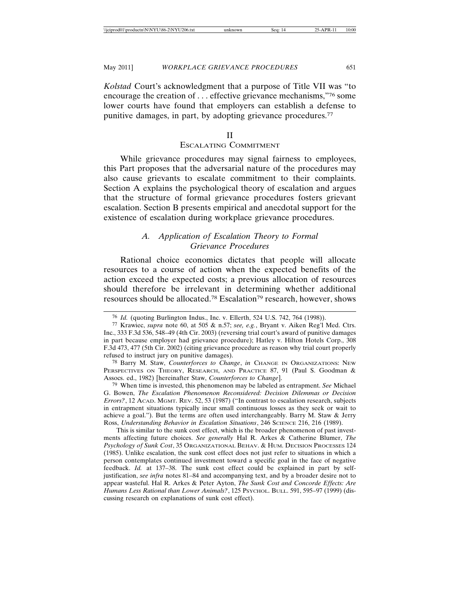*Kolstad* Court's acknowledgment that a purpose of Title VII was "to encourage the creation of . . . effective grievance mechanisms,"76 some lower courts have found that employers can establish a defense to punitive damages, in part, by adopting grievance procedures.<sup>77</sup>

### II

### ESCALATING COMMITMENT

While grievance procedures may signal fairness to employees, this Part proposes that the adversarial nature of the procedures may also cause grievants to escalate commitment to their complaints. Section A explains the psychological theory of escalation and argues that the structure of formal grievance procedures fosters grievant escalation. Section B presents empirical and anecdotal support for the existence of escalation during workplace grievance procedures.

# *A. Application of Escalation Theory to Formal Grievance Procedures*

Rational choice economics dictates that people will allocate resources to a course of action when the expected benefits of the action exceed the expected costs; a previous allocation of resources should therefore be irrelevant in determining whether additional resources should be allocated.78 Escalation79 research, however, shows

79 When time is invested, this phenomenon may be labeled as entrapment. *See* Michael G. Bowen, *The Escalation Phenomenon Reconsidered: Decision Dilemmas or Decision Errors?*, 12 ACAD. MGMT. REV. 52, 53 (1987) ("In contrast to escalation research, subjects in entrapment situations typically incur small continuous losses as they seek or wait to achieve a goal."). But the terms are often used interchangeably. Barry M. Staw & Jerry Ross, *Understanding Behavior in Escalation Situations*, 246 SCIENCE 216, 216 (1989).

This is similar to the sunk cost effect, which is the broader phenomenon of past investments affecting future choices. *See generally* Hal R. Arkes & Catherine Blumer, *The Psychology of Sunk Cost*, 35 ORGANIZATIONAL BEHAV. & HUM. DECISION PROCESSES 124 (1985). Unlike escalation, the sunk cost effect does not just refer to situations in which a person contemplates continued investment toward a specific goal in the face of negative feedback. *Id.* at 137–38. The sunk cost effect could be explained in part by selfjustification, *see infra* notes 81–84 and accompanying text, and by a broader desire not to appear wasteful. Hal R. Arkes & Peter Ayton, *The Sunk Cost and Concorde Effects: Are* Humans Less Rational than Lower Animals?, 125 Psychol. BULL. 591, 595-97 (1999) (discussing research on explanations of sunk cost effect).

<sup>76</sup> *Id.* (quoting Burlington Indus., Inc. v. Ellerth, 524 U.S. 742, 764 (1998)).

<sup>77</sup> Krawiec, *supra* note 60, at 505 & n.57; *see, e.g.*, Bryant v. Aiken Reg'l Med. Ctrs. Inc., 333 F.3d 536, 548–49 (4th Cir. 2003) (reversing trial court's award of punitive damages in part because employer had grievance procedure); Hatley v. Hilton Hotels Corp., 308 F.3d 473, 477 (5th Cir. 2002) (citing grievance procedure as reason why trial court properly refused to instruct jury on punitive damages).

<sup>78</sup> Barry M. Staw, *Counterforces to Change*, *in* CHANGE IN ORGANIZATIONS: NEW PERSPECTIVES ON THEORY, RESEARCH, AND PRACTICE 87, 91 (Paul S. Goodman & Assocs. ed., 1982) [hereinafter Staw, *Counterforces to Change*].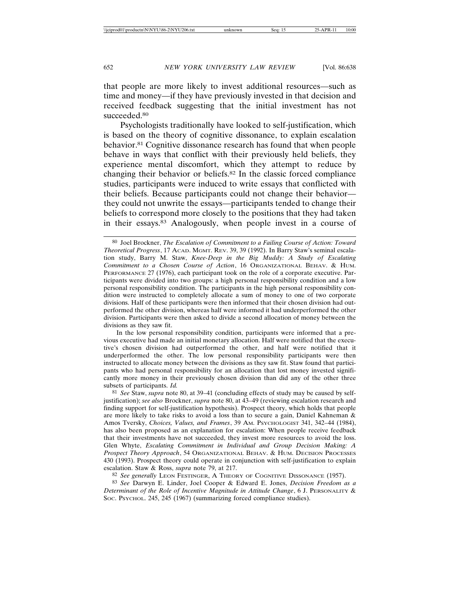that people are more likely to invest additional resources—such as time and money—if they have previously invested in that decision and received feedback suggesting that the initial investment has not succeeded.<sup>80</sup>

Psychologists traditionally have looked to self-justification, which is based on the theory of cognitive dissonance, to explain escalation behavior.81 Cognitive dissonance research has found that when people behave in ways that conflict with their previously held beliefs, they experience mental discomfort, which they attempt to reduce by changing their behavior or beliefs.82 In the classic forced compliance studies, participants were induced to write essays that conflicted with their beliefs. Because participants could not change their behavior they could not unwrite the essays—participants tended to change their beliefs to correspond more closely to the positions that they had taken in their essays.83 Analogously, when people invest in a course of

In the low personal responsibility condition, participants were informed that a previous executive had made an initial monetary allocation. Half were notified that the executive's chosen division had outperformed the other, and half were notified that it underperformed the other. The low personal responsibility participants were then instructed to allocate money between the divisions as they saw fit. Staw found that participants who had personal responsibility for an allocation that lost money invested significantly more money in their previously chosen division than did any of the other three subsets of participants. *Id.*

81 *See* Staw, *supra* note 80, at 39–41 (concluding effects of study may be caused by selfjustification); *see also* Brockner, *supra* note 80, at 43–49 (reviewing escalation research and finding support for self-justification hypothesis). Prospect theory, which holds that people are more likely to take risks to avoid a loss than to secure a gain, Daniel Kahneman & Amos Tversky, *Choices, Values, and Frames*, 39 AM. PSYCHOLOGIST 341, 342–44 (1984), has also been proposed as an explanation for escalation: When people receive feedback that their investments have not succeeded, they invest more resources to avoid the loss. Glen Whyte, *Escalating Commitment in Individual and Group Decision Making: A Prospect Theory Approach*, 54 ORGANIZATIONAL BEHAV. & HUM. DECISION PROCESSES 430 (1993). Prospect theory could operate in conjunction with self-justification to explain escalation. Staw & Ross, *supra* note 79, at 217.

82 *See generally* LEON FESTINGER, A THEORY OF COGNITIVE DISSONANCE (1957).

83 *See* Darwyn E. Linder, Joel Cooper & Edward E. Jones, *Decision Freedom as a Determinant of the Role of Incentive Magnitude in Attitude Change*, 6 J. PERSONALITY & Soc. Psychol. 245, 245 (1967) (summarizing forced compliance studies).

<sup>80</sup> Joel Brockner, *The Escalation of Commitment to a Failing Course of Action: Toward Theoretical Progress*, 17 ACAD. MGMT. REV. 39, 39 (1992). In Barry Staw's seminal escalation study, Barry M. Staw, *Knee-Deep in the Big Muddy: A Study of Escalating Commitment to a Chosen Course of Action*, 16 ORGANIZATIONAL BEHAV. & HUM. PERFORMANCE 27 (1976), each participant took on the role of a corporate executive. Participants were divided into two groups: a high personal responsibility condition and a low personal responsibility condition. The participants in the high personal responsibility condition were instructed to completely allocate a sum of money to one of two corporate divisions. Half of these participants were then informed that their chosen division had outperformed the other division, whereas half were informed it had underperformed the other division. Participants were then asked to divide a second allocation of money between the divisions as they saw fit.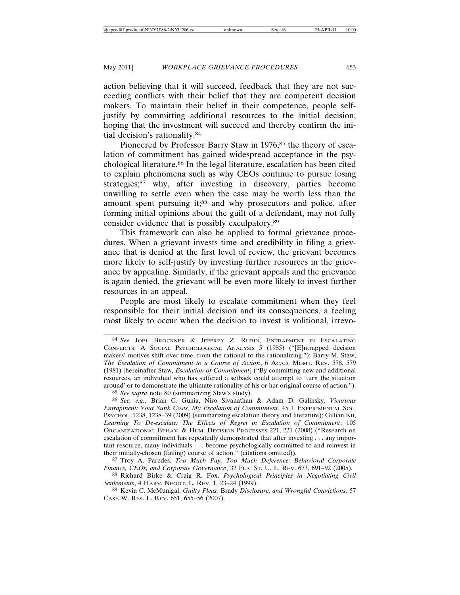action believing that it will succeed, feedback that they are not succeeding conflicts with their belief that they are competent decision makers. To maintain their belief in their competence, people selfjustify by committing additional resources to the initial decision, hoping that the investment will succeed and thereby confirm the initial decision's rationality.84

Pioneered by Professor Barry Staw in 1976,<sup>85</sup> the theory of escalation of commitment has gained widespread acceptance in the psychological literature.<sup>86</sup> In the legal literature, escalation has been cited to explain phenomena such as why CEOs continue to pursue losing strategies;<sup>87</sup> why, after investing in discovery, parties become unwilling to settle even when the case may be worth less than the amount spent pursuing it;<sup>88</sup> and why prosecutors and police, after forming initial opinions about the guilt of a defendant, may not fully consider evidence that is possibly exculpatory.89

This framework can also be applied to formal grievance procedures. When a grievant invests time and credibility in filing a grievance that is denied at the first level of review, the grievant becomes more likely to self-justify by investing further resources in the grievance by appealing. Similarly, if the grievant appeals and the grievance is again denied, the grievant will be even more likely to invest further resources in an appeal.

People are most likely to escalate commitment when they feel responsible for their initial decision and its consequences, a feeling most likely to occur when the decision to invest is volitional, irrevo-

88 Richard Birke & Craig R. Fox, *Psychological Principles in Negotiating Civil Settlements*, 4 HARV. NEGOT. L. REV. 1, 23–24 (1999).

89 Kevin C. McMunigal, *Guilty Pleas,* Brady *Disclosure, and Wrongful Convictions*, 57 CASE W. RES. L. REV. 651, 655–56 (2007).

<sup>84</sup> *See* JOEL BROCKNER & JEFFREY Z. RUBIN, ENTRAPMENT IN ESCALATING CONFLICTS: A SOCIAL PSYCHOLOGICAL ANALYSIS 5 (1985) ("[E]ntrapped decision makers' motives shift over time, from the rational to the rationalizing."); Barry M. Staw, *The Escalation of Commitment to a Course of Action*, 6 ACAD. MGMT. REV. 578, 579 (1981) [hereinafter Staw, *Escalation of Commitment*] ("By committing new and additional resources, an individual who has suffered a setback could attempt to 'turn the situation around' or to demonstrate the ultimate rationality of his or her original course of action.").

<sup>85</sup> *See supra* note 80 (summarizing Staw's study).

<sup>86</sup> *See, e.g.*, Brian C. Gunia, Niro Sivanathan & Adam D. Galinsky, *Vicarious Entrapment: Your Sunk Costs, My Escalation of Commitment*, 45 J. EXPERIMENTAL SOC. PSYCHOL. 1238, 1238–39 (2009) (summarizing escalation theory and literature); Gillian Ku, *Learning To De-escalate: The Effects of Regret in Escalation of Commitment*, 105 ORGANIZATIONAL BEHAV. & HUM. DECISION PROCESSES 221, 221 (2008) ("Research on escalation of commitment has repeatedly demonstrated that after investing . . . any important resource, many individuals . . . become psychologically committed to and reinvest in their initially-chosen (failing) course of action." (citations omitted)).

<sup>87</sup> Troy A. Paredes, *Too Much Pay, Too Much Deference: Behavioral Corporate Finance, CEOs, and Corporate Governance*, 32 FLA. ST. U. L. REV. 673, 691–92 (2005).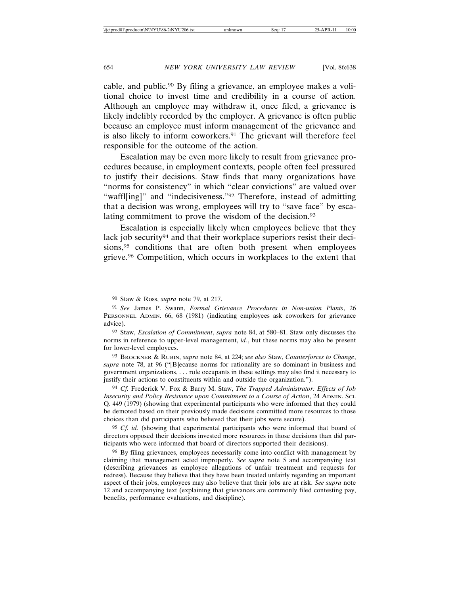cable, and public.90 By filing a grievance, an employee makes a volitional choice to invest time and credibility in a course of action. Although an employee may withdraw it, once filed, a grievance is likely indelibly recorded by the employer. A grievance is often public because an employee must inform management of the grievance and is also likely to inform coworkers.<sup>91</sup> The grievant will therefore feel responsible for the outcome of the action.

Escalation may be even more likely to result from grievance procedures because, in employment contexts, people often feel pressured to justify their decisions. Staw finds that many organizations have "norms for consistency" in which "clear convictions" are valued over "waffl[ing]" and "indecisiveness."<sup>92</sup> Therefore, instead of admitting that a decision was wrong, employees will try to "save face" by escalating commitment to prove the wisdom of the decision.93

Escalation is especially likely when employees believe that they lack job security<sup>94</sup> and that their workplace superiors resist their decisions,<sup>95</sup> conditions that are often both present when employees grieve.96 Competition, which occurs in workplaces to the extent that

93 BROCKNER & RUBIN, *supra* note 84, at 224; *see also* Staw, *Counterforces to Change*, *supra* note 78, at 96 ("[B]ecause norms for rationality are so dominant in business and government organizations, . . . role occupants in these settings may also find it necessary to justify their actions to constituents within and outside the organization.").

94 *Cf.* Frederick V. Fox & Barry M. Staw, *The Trapped Administrator: Effects of Job Insecurity and Policy Resistance upon Commitment to a Course of Action*, 24 ADMIN. SCI. Q. 449 (1979) (showing that experimental participants who were informed that they could be demoted based on their previously made decisions committed more resources to those choices than did participants who believed that their jobs were secure).

95 *Cf. id.* (showing that experimental participants who were informed that board of directors opposed their decisions invested more resources in those decisions than did participants who were informed that board of directors supported their decisions).

96 By filing grievances, employees necessarily come into conflict with management by claiming that management acted improperly. *See supra* note 5 and accompanying text (describing grievances as employee allegations of unfair treatment and requests for redress). Because they believe that they have been treated unfairly regarding an important aspect of their jobs, employees may also believe that their jobs are at risk. *See supra* note 12 and accompanying text (explaining that grievances are commonly filed contesting pay, benefits, performance evaluations, and discipline).

<sup>90</sup> Staw & Ross, *supra* note 79, at 217.

<sup>91</sup> *See* James P. Swann, *Formal Grievance Procedures in Non-union Plants*, 26 PERSONNEL ADMIN. 66, 68 (1981) (indicating employees ask coworkers for grievance advice).

<sup>92</sup> Staw, *Escalation of Commitment*, *supra* note 84, at 580–81. Staw only discusses the norms in reference to upper-level management, *id.*, but these norms may also be present for lower-level employees.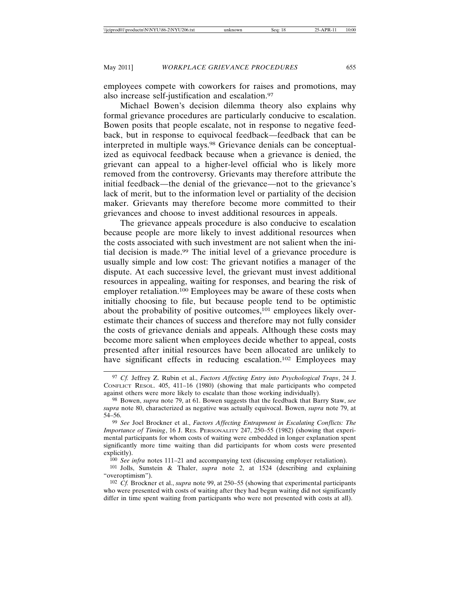employees compete with coworkers for raises and promotions, may also increase self-justification and escalation.97

Michael Bowen's decision dilemma theory also explains why formal grievance procedures are particularly conducive to escalation. Bowen posits that people escalate, not in response to negative feedback, but in response to equivocal feedback—feedback that can be interpreted in multiple ways.98 Grievance denials can be conceptualized as equivocal feedback because when a grievance is denied, the grievant can appeal to a higher-level official who is likely more removed from the controversy. Grievants may therefore attribute the initial feedback—the denial of the grievance—not to the grievance's lack of merit, but to the information level or partiality of the decision maker. Grievants may therefore become more committed to their grievances and choose to invest additional resources in appeals.

The grievance appeals procedure is also conducive to escalation because people are more likely to invest additional resources when the costs associated with such investment are not salient when the initial decision is made.99 The initial level of a grievance procedure is usually simple and low cost: The grievant notifies a manager of the dispute. At each successive level, the grievant must invest additional resources in appealing, waiting for responses, and bearing the risk of employer retaliation.100 Employees may be aware of these costs when initially choosing to file, but because people tend to be optimistic about the probability of positive outcomes,<sup>101</sup> employees likely overestimate their chances of success and therefore may not fully consider the costs of grievance denials and appeals. Although these costs may become more salient when employees decide whether to appeal, costs presented after initial resources have been allocated are unlikely to have significant effects in reducing escalation.<sup>102</sup> Employees may

<sup>97</sup> *Cf.* Jeffrey Z. Rubin et al., *Factors Affecting Entry into Psychological Traps*, 24 J. CONFLICT RESOL. 405, 411–16 (1980) (showing that male participants who competed against others were more likely to escalate than those working individually).

<sup>98</sup> Bowen, *supra* note 79, at 61. Bowen suggests that the feedback that Barry Staw, *see supra* note 80, characterized as negative was actually equivocal. Bowen, *supra* note 79, at 54–56.

<sup>99</sup> *See* Joel Brockner et al., *Factors Affecting Entrapment in Escalating Conflicts: The Importance of Timing*, 16 J. RES. PERSONALITY 247, 250–55 (1982) (showing that experimental participants for whom costs of waiting were embedded in longer explanation spent significantly more time waiting than did participants for whom costs were presented explicitly).

<sup>100</sup> *See infra* notes 111–21 and accompanying text (discussing employer retaliation).

<sup>101</sup> Jolls, Sunstein & Thaler, *supra* note 2, at 1524 (describing and explaining "overoptimism").

<sup>102</sup> *Cf.* Brockner et al., *supra* note 99, at 250–55 (showing that experimental participants who were presented with costs of waiting after they had begun waiting did not significantly differ in time spent waiting from participants who were not presented with costs at all).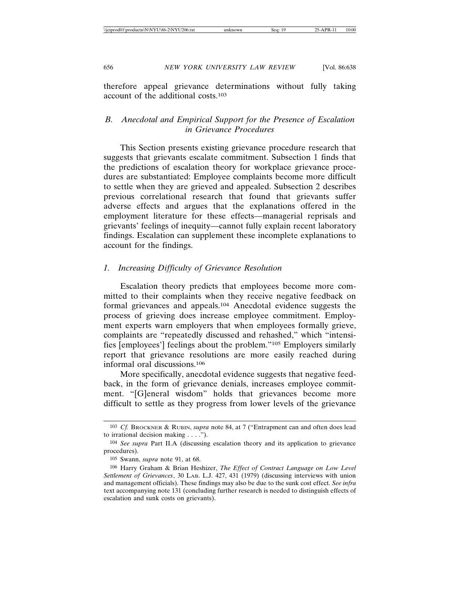therefore appeal grievance determinations without fully taking account of the additional costs.103

# *B. Anecdotal and Empirical Support for the Presence of Escalation in Grievance Procedures*

This Section presents existing grievance procedure research that suggests that grievants escalate commitment. Subsection 1 finds that the predictions of escalation theory for workplace grievance procedures are substantiated: Employee complaints become more difficult to settle when they are grieved and appealed. Subsection 2 describes previous correlational research that found that grievants suffer adverse effects and argues that the explanations offered in the employment literature for these effects—managerial reprisals and grievants' feelings of inequity—cannot fully explain recent laboratory findings. Escalation can supplement these incomplete explanations to account for the findings.

### *1. Increasing Difficulty of Grievance Resolution*

Escalation theory predicts that employees become more committed to their complaints when they receive negative feedback on formal grievances and appeals.104 Anecdotal evidence suggests the process of grieving does increase employee commitment. Employment experts warn employers that when employees formally grieve, complaints are "repeatedly discussed and rehashed," which "intensifies [employees'] feelings about the problem."105 Employers similarly report that grievance resolutions are more easily reached during informal oral discussions.106

More specifically, anecdotal evidence suggests that negative feedback, in the form of grievance denials, increases employee commitment. "[G]eneral wisdom" holds that grievances become more difficult to settle as they progress from lower levels of the grievance

<sup>103</sup> *Cf.* BROCKNER & RUBIN, *supra* note 84, at 7 ("Entrapment can and often does lead to irrational decision making . . . .").

<sup>104</sup> *See supra* Part II.A (discussing escalation theory and its application to grievance procedures).

<sup>105</sup> Swann, *supra* note 91, at 68.

<sup>106</sup> Harry Graham & Brian Heshizer, *The Effect of Contract Language on Low Level Settlement of Grievances*, 30 LAB. L.J. 427, 431 (1979) (discussing interviews with union and management officials). These findings may also be due to the sunk cost effect. *See infra* text accompanying note 131 (concluding further research is needed to distinguish effects of escalation and sunk costs on grievants).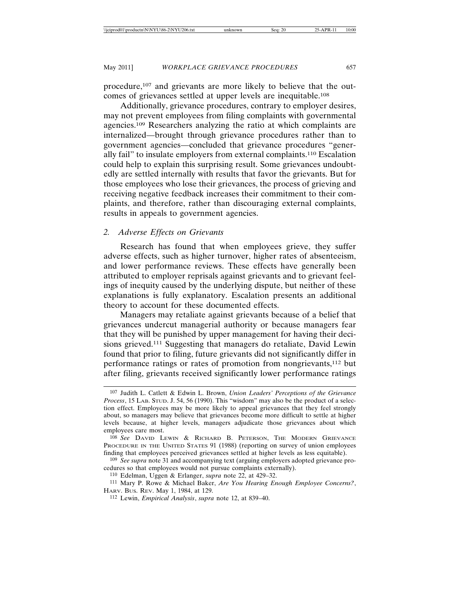procedure,<sup>107</sup> and grievants are more likely to believe that the outcomes of grievances settled at upper levels are inequitable.108

Additionally, grievance procedures, contrary to employer desires, may not prevent employees from filing complaints with governmental agencies.109 Researchers analyzing the ratio at which complaints are internalized—brought through grievance procedures rather than to government agencies—concluded that grievance procedures "generally fail" to insulate employers from external complaints.110 Escalation could help to explain this surprising result. Some grievances undoubtedly are settled internally with results that favor the grievants. But for those employees who lose their grievances, the process of grieving and receiving negative feedback increases their commitment to their complaints, and therefore, rather than discouraging external complaints, results in appeals to government agencies.

# *2. Adverse Effects on Grievants*

Research has found that when employees grieve, they suffer adverse effects, such as higher turnover, higher rates of absenteeism, and lower performance reviews. These effects have generally been attributed to employer reprisals against grievants and to grievant feelings of inequity caused by the underlying dispute, but neither of these explanations is fully explanatory. Escalation presents an additional theory to account for these documented effects.

Managers may retaliate against grievants because of a belief that grievances undercut managerial authority or because managers fear that they will be punished by upper management for having their decisions grieved.111 Suggesting that managers do retaliate, David Lewin found that prior to filing, future grievants did not significantly differ in performance ratings or rates of promotion from nongrievants,112 but after filing, grievants received significantly lower performance ratings

<sup>107</sup> Judith L. Catlett & Edwin L. Brown, *Union Leaders' Perceptions of the Grievance Process*, 15 LAB. STUD. J. 54, 56 (1990). This "wisdom" may also be the product of a selection effect. Employees may be more likely to appeal grievances that they feel strongly about, so managers may believe that grievances become more difficult to settle at higher levels because, at higher levels, managers adjudicate those grievances about which employees care most.

<sup>108</sup> *See* DAVID LEWIN & RICHARD B. PETERSON, THE MODERN GRIEVANCE PROCEDURE IN THE UNITED STATES 91 (1988) (reporting on survey of union employees finding that employees perceived grievances settled at higher levels as less equitable).

<sup>109</sup> *See supra* note 31 and accompanying text (arguing employers adopted grievance procedures so that employees would not pursue complaints externally).

<sup>110</sup> Edelman, Uggen & Erlanger, *supra* note 22, at 429–32.

<sup>111</sup> Mary P. Rowe & Michael Baker, *Are You Hearing Enough Employee Concerns?*, HARV. BUS. REV. May 1, 1984, at 129.

<sup>112</sup> Lewin, *Empirical Analysis*, *supra* note 12, at 839–40.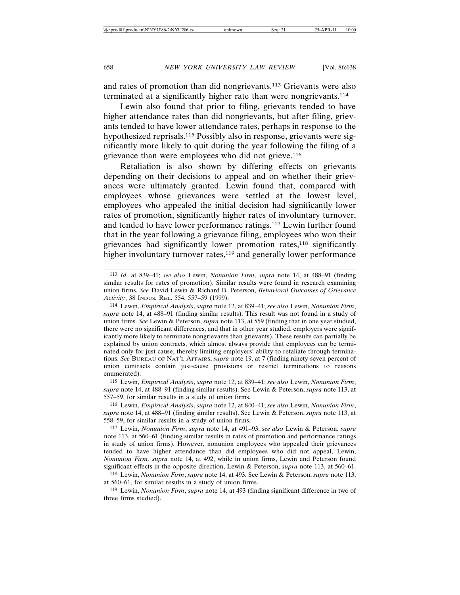and rates of promotion than did nongrievants.113 Grievants were also terminated at a significantly higher rate than were nongrievants.114

Lewin also found that prior to filing, grievants tended to have higher attendance rates than did nongrievants, but after filing, grievants tended to have lower attendance rates, perhaps in response to the hypothesized reprisals.115 Possibly also in response, grievants were significantly more likely to quit during the year following the filing of a grievance than were employees who did not grieve.116

Retaliation is also shown by differing effects on grievants depending on their decisions to appeal and on whether their grievances were ultimately granted. Lewin found that, compared with employees whose grievances were settled at the lowest level, employees who appealed the initial decision had significantly lower rates of promotion, significantly higher rates of involuntary turnover, and tended to have lower performance ratings.117 Lewin further found that in the year following a grievance filing, employees who won their grievances had significantly lower promotion rates,<sup>118</sup> significantly higher involuntary turnover rates,<sup>119</sup> and generally lower performance

<sup>113</sup> *Id.* at 839–41; *see also* Lewin, *Nonunion Firm*, *supra* note 14, at 488–91 (finding similar results for rates of promotion). Similar results were found in research examining union firms. *See* David Lewin & Richard B. Peterson, *Behavioral Outcomes of Grievance Activity*, 38 INDUS. REL. 554, 557–59 (1999).

<sup>114</sup> Lewin, *Empirical Analysis*, *supra* note 12, at 839–41; *see also* Lewin, *Nonunion Firm*, *supra* note 14, at 488–91 (finding similar results). This result was not found in a study of union firms. *See* Lewin & Peterson, *supra* note 113, at 559 (finding that in one year studied, there were no significant differences, and that in other year studied, employers were significantly more likely to terminate nongrievants than grievants). These results can partially be explained by union contracts, which almost always provide that employees can be terminated only for just cause, thereby limiting employers' ability to retaliate through terminations. *See* BUREAU OF NAT'L AFFAIRS, *supra* note 19, at 7 (finding ninety-seven percent of union contracts contain just-cause provisions or restrict terminations to reasons enumerated).

<sup>115</sup> Lewin, *Empirical Analysis*, *supra* note 12, at 839–41; *see also* Lewin, *Nonunion Firm*, *supra* note 14, at 488–91 (finding similar results). See Lewin & Peterson, *supra* note 113, at 557–59, for similar results in a study of union firms.

<sup>116</sup> Lewin, *Empirical Analysis*, *supra* note 12, at 840–41; *see also* Lewin, *Nonunion Firm*, *supra* note 14, at 488–91 (finding similar results). See Lewin & Peterson, *supra* note 113, at 558–59, for similar results in a study of union firms.

<sup>117</sup> Lewin, *Nonunion Firm*, *supra* note 14, at 491–93; *see also* Lewin & Peterson, *supra* note 113, at 560–61 (finding similar results in rates of promotion and performance ratings in study of union firms). However, nonunion employees who appealed their grievances tended to have higher attendance than did employees who did not appeal, Lewin, *Nonunion Firm*, *supra* note 14, at 492, while in union firms, Lewin and Peterson found significant effects in the opposite direction, Lewin & Peterson, *supra* note 113, at 560–61.

<sup>118</sup> Lewin, *Nonunion Firm*, *supra* note 14, at 493. See Lewin & Peterson, *supra* note 113, at 560–61, for similar results in a study of union firms.

<sup>119</sup> Lewin, *Nonunion Firm*, *supra* note 14, at 493 (finding significant difference in two of three firms studied).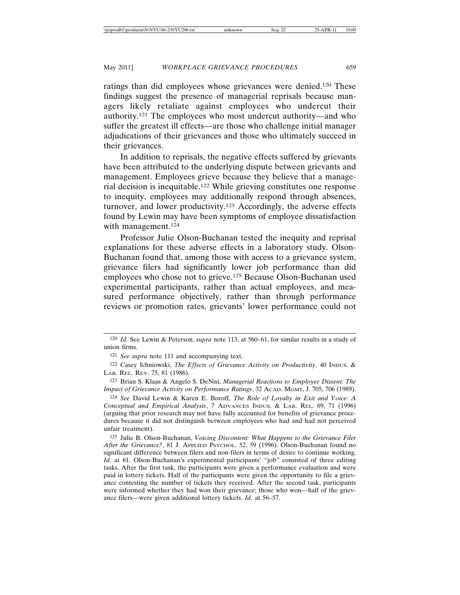ratings than did employees whose grievances were denied.120 These findings suggest the presence of managerial reprisals because managers likely retaliate against employees who undercut their authority.121 The employees who most undercut authority—and who suffer the greatest ill effects—are those who challenge initial manager adjudications of their grievances and those who ultimately succeed in their grievances.

In addition to reprisals, the negative effects suffered by grievants have been attributed to the underlying dispute between grievants and management. Employees grieve because they believe that a managerial decision is inequitable.122 While grieving constitutes one response to inequity, employees may additionally respond through absences, turnover, and lower productivity.123 Accordingly, the adverse effects found by Lewin may have been symptoms of employee dissatisfaction with management.<sup>124</sup>

Professor Julie Olson-Buchanan tested the inequity and reprisal explanations for these adverse effects in a laboratory study. Olson-Buchanan found that, among those with access to a grievance system, grievance filers had significantly lower job performance than did employees who chose not to grieve.125 Because Olson-Buchanan used experimental participants, rather than actual employees, and measured performance objectively, rather than through performance reviews or promotion rates, grievants' lower performance could not

<sup>120</sup> *Id.* See Lewin & Peterson, *supra* note 113, at 560–61, for similar results in a study of union firms.

<sup>121</sup> *See supra* note 111 and accompanying text.

<sup>122</sup> Casey Ichniowski, *The Effects of Grievance Activity on Productivity*, 40 INDUS. & LAB. REL. REV. 75, 81 (1986).

<sup>123</sup> Brian S. Klaas & Angelo S. DeNisi, *Managerial Reactions to Employee Dissent: The Impact of Grievance Activity on Performance Ratings*, 32 ACAD. MGMT. J. 705, 706 (1989).

<sup>124</sup> *See* David Lewin & Karen E. Boroff, *The Role of Loyalty in Exit and Voice: A Conceptual and Empirical Analysis*, 7 ADVANCES INDUS. & LAB. REL. 69, 71 (1996) (arguing that prior research may not have fully accounted for benefits of grievance procedures because it did not distinguish between employees who had and had not perceived unfair treatment).

<sup>125</sup> Julie B. Olson-Buchanan, *Voicing Discontent: What Happens to the Grievance Filer After the Grievance?*, 81 J. APPLIED PSYCHOL. 52, 59 (1996). Olson-Buchanan found no significant difference between filers and non-filers in terms of desire to continue working. *Id.* at 61. Olson-Buchanan's experimental participants' "job" consisted of three editing tasks. After the first task, the participants were given a performance evaluation and were paid in lottery tickets. Half of the participants were given the opportunity to file a grievance contesting the number of tickets they received. After the second task, participants were informed whether they had won their grievance; those who won—half of the grievance filers—were given additional lottery tickets. *Id.* at 56–57.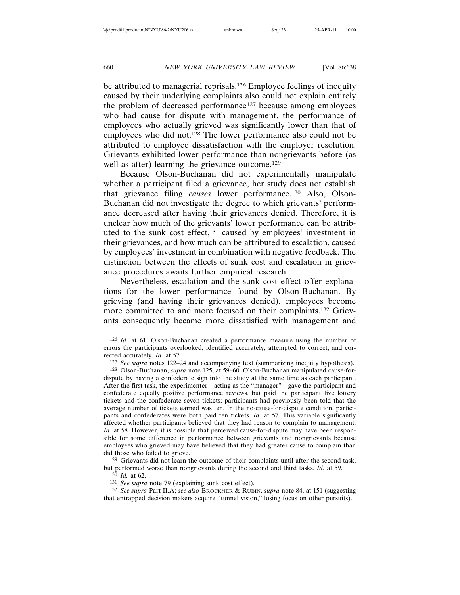be attributed to managerial reprisals.126 Employee feelings of inequity caused by their underlying complaints also could not explain entirely the problem of decreased performance<sup>127</sup> because among employees who had cause for dispute with management, the performance of employees who actually grieved was significantly lower than that of employees who did not.128 The lower performance also could not be attributed to employee dissatisfaction with the employer resolution: Grievants exhibited lower performance than nongrievants before (as well as after) learning the grievance outcome.<sup>129</sup>

Because Olson-Buchanan did not experimentally manipulate whether a participant filed a grievance, her study does not establish that grievance filing *causes* lower performance.130 Also, Olson-Buchanan did not investigate the degree to which grievants' performance decreased after having their grievances denied. Therefore, it is unclear how much of the grievants' lower performance can be attributed to the sunk cost effect,131 caused by employees' investment in their grievances, and how much can be attributed to escalation, caused by employees' investment in combination with negative feedback. The distinction between the effects of sunk cost and escalation in grievance procedures awaits further empirical research.

Nevertheless, escalation and the sunk cost effect offer explanations for the lower performance found by Olson-Buchanan. By grieving (and having their grievances denied), employees become more committed to and more focused on their complaints.132 Grievants consequently became more dissatisfied with management and

129 Grievants did not learn the outcome of their complaints until after the second task, but performed worse than nongrievants during the second and third tasks. *Id.* at 59.

131 *See supra* note 79 (explaining sunk cost effect).

132 *See supra* Part II.A; *see also* BROCKNER & RUBIN, *supra* note 84, at 151 (suggesting that entrapped decision makers acquire "tunnel vision," losing focus on other pursuits).

<sup>126</sup> *Id.* at 61. Olson-Buchanan created a performance measure using the number of errors the participants overlooked, identified accurately, attempted to correct, and corrected accurately. *Id.* at 57.

<sup>127</sup> *See supra* notes 122–24 and accompanying text (summarizing inequity hypothesis).

<sup>128</sup> Olson-Buchanan, *supra* note 125, at 59–60. Olson-Buchanan manipulated cause-fordispute by having a confederate sign into the study at the same time as each participant. After the first task, the experimenter—acting as the "manager"—gave the participant and confederate equally positive performance reviews, but paid the participant five lottery tickets and the confederate seven tickets; participants had previously been told that the average number of tickets earned was ten. In the no-cause-for-dispute condition, participants and confederates were both paid ten tickets. *Id.* at 57. This variable significantly affected whether participants believed that they had reason to complain to management. *Id.* at 58. However, it is possible that perceived cause-for-dispute may have been responsible for some difference in performance between grievants and nongrievants because employees who grieved may have believed that they had greater cause to complain than did those who failed to grieve.

<sup>130</sup> *Id.* at 62.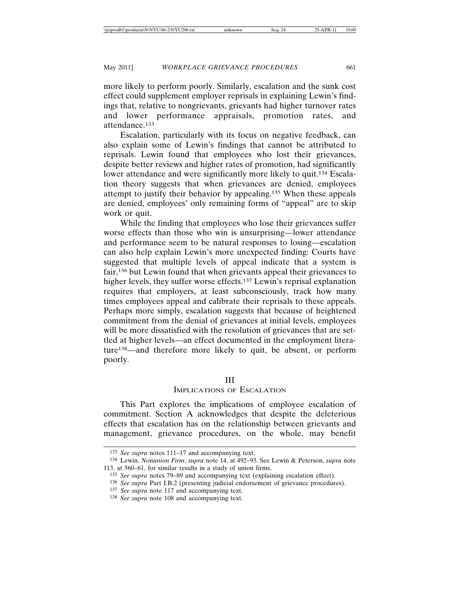more likely to perform poorly. Similarly, escalation and the sunk cost effect could supplement employer reprisals in explaining Lewin's findings that, relative to nongrievants, grievants had higher turnover rates and lower performance appraisals, promotion rates, and attendance.133

Escalation, particularly with its focus on negative feedback, can also explain some of Lewin's findings that cannot be attributed to reprisals. Lewin found that employees who lost their grievances, despite better reviews and higher rates of promotion, had significantly lower attendance and were significantly more likely to quit.<sup>134</sup> Escalation theory suggests that when grievances are denied, employees attempt to justify their behavior by appealing.135 When these appeals are denied, employees' only remaining forms of "appeal" are to skip work or quit.

While the finding that employees who lose their grievances suffer worse effects than those who win is unsurprising—lower attendance and performance seem to be natural responses to losing—escalation can also help explain Lewin's more unexpected finding: Courts have suggested that multiple levels of appeal indicate that a system is fair,136 but Lewin found that when grievants appeal their grievances to higher levels, they suffer worse effects.<sup>137</sup> Lewin's reprisal explanation requires that employers, at least subconsciously, track how many times employees appeal and calibrate their reprisals to these appeals. Perhaps more simply, escalation suggests that because of heightened commitment from the denial of grievances at initial levels, employees will be more dissatisfied with the resolution of grievances that are settled at higher levels—an effect documented in the employment literature138—and therefore more likely to quit, be absent, or perform poorly.

### III

# IMPLICATIONS OF ESCALATION

This Part explores the implications of employee escalation of commitment. Section A acknowledges that despite the deleterious effects that escalation has on the relationship between grievants and management, grievance procedures, on the whole, may benefit

<sup>133</sup> *See supra* notes 111–17 and accompanying text.

<sup>134</sup> Lewin, *Nonunion Firm*, *supra* note 14, at 492–93. See Lewin & Peterson, *supra* note 113, at 560–61, for similar results in a study of union firms.

<sup>135</sup> *See supra* notes 79–89 and accompanying text (explaining escalation effect).

<sup>136</sup> *See supra* Part I.B.2 (presenting judicial endorsement of grievance procedures).

<sup>137</sup> *See supra* note 117 and accompanying text.

<sup>138</sup> *See supra* note 108 and accompanying text.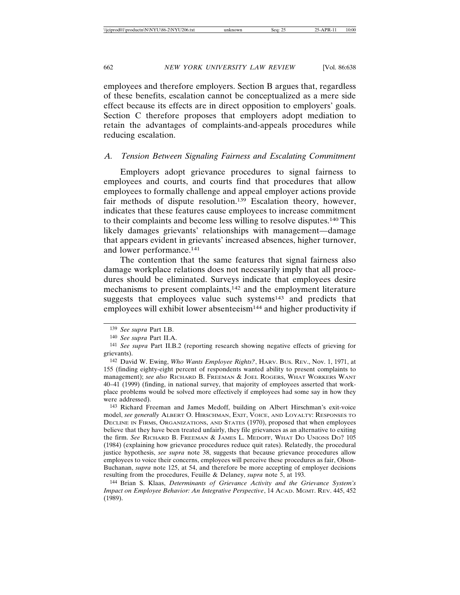employees and therefore employers. Section B argues that, regardless of these benefits, escalation cannot be conceptualized as a mere side effect because its effects are in direct opposition to employers' goals. Section C therefore proposes that employers adopt mediation to retain the advantages of complaints-and-appeals procedures while reducing escalation.

### *A. Tension Between Signaling Fairness and Escalating Commitment*

Employers adopt grievance procedures to signal fairness to employees and courts, and courts find that procedures that allow employees to formally challenge and appeal employer actions provide fair methods of dispute resolution.139 Escalation theory, however, indicates that these features cause employees to increase commitment to their complaints and become less willing to resolve disputes.140 This likely damages grievants' relationships with management—damage that appears evident in grievants' increased absences, higher turnover, and lower performance.141

The contention that the same features that signal fairness also damage workplace relations does not necessarily imply that all procedures should be eliminated. Surveys indicate that employees desire mechanisms to present complaints,142 and the employment literature suggests that employees value such systems<sup>143</sup> and predicts that employees will exhibit lower absenteeism<sup>144</sup> and higher productivity if

143 Richard Freeman and James Medoff, building on Albert Hirschman's exit-voice model, *see generally* ALBERT O. HIRSCHMAN, EXIT, VOICE, AND LOYALTY: RESPONSES TO DECLINE IN FIRMS, ORGANIZATIONS, AND STATES (1970), proposed that when employees believe that they have been treated unfairly, they file grievances as an alternative to exiting the firm. *See* RICHARD B. FREEMAN & JAMES L. MEDOFF, WHAT DO UNIONS DO? 105 (1984) (explaining how grievance procedures reduce quit rates). Relatedly, the procedural justice hypothesis, *see supra* note 38, suggests that because grievance procedures allow employees to voice their concerns, employees will perceive these procedures as fair, Olson-Buchanan, *supra* note 125, at 54, and therefore be more accepting of employer decisions resulting from the procedures, Feuille & Delaney, *supra* note 5, at 193.

144 Brian S. Klaas, *Determinants of Grievance Activity and the Grievance System's Impact on Employee Behavior: An Integrative Perspective*, 14 ACAD. MGMT. REV. 445, 452 (1989).

<sup>139</sup> *See supra* Part I.B.

<sup>140</sup> *See supra* Part II.A.

<sup>141</sup> *See supra* Part II.B.2 (reporting research showing negative effects of grieving for grievants).

<sup>142</sup> David W. Ewing, *Who Wants Employee Rights?*, HARV. BUS. REV., Nov. 1, 1971, at 155 (finding eighty-eight percent of respondents wanted ability to present complaints to management); *see also* RICHARD B. FREEMAN & JOEL ROGERS, WHAT WORKERS WANT 40–41 (1999) (finding, in national survey, that majority of employees asserted that workplace problems would be solved more effectively if employees had some say in how they were addressed).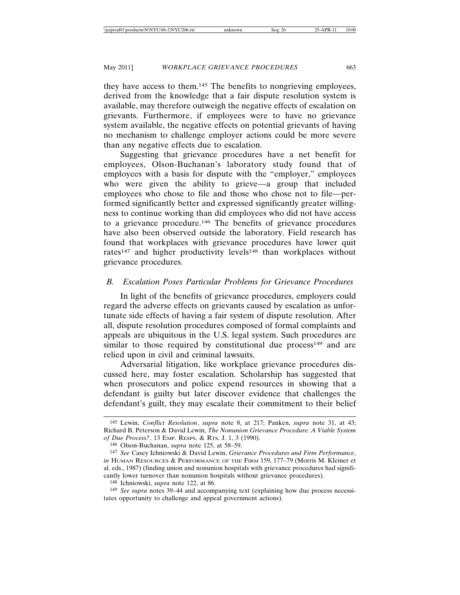they have access to them.145 The benefits to nongrieving employees, derived from the knowledge that a fair dispute resolution system is available, may therefore outweigh the negative effects of escalation on grievants. Furthermore, if employees were to have no grievance system available, the negative effects on potential grievants of having no mechanism to challenge employer actions could be more severe than any negative effects due to escalation.

Suggesting that grievance procedures have a net benefit for employees, Olson-Buchanan's laboratory study found that of employees with a basis for dispute with the "employer," employees who were given the ability to grieve—a group that included employees who chose to file and those who chose not to file—performed significantly better and expressed significantly greater willingness to continue working than did employees who did not have access to a grievance procedure.146 The benefits of grievance procedures have also been observed outside the laboratory. Field research has found that workplaces with grievance procedures have lower quit rates<sup>147</sup> and higher productivity levels<sup>148</sup> than workplaces without grievance procedures.

# *B. Escalation Poses Particular Problems for Grievance Procedures*

In light of the benefits of grievance procedures, employers could regard the adverse effects on grievants caused by escalation as unfortunate side effects of having a fair system of dispute resolution. After all, dispute resolution procedures composed of formal complaints and appeals are ubiquitous in the U.S. legal system. Such procedures are similar to those required by constitutional due process<sup>149</sup> and are relied upon in civil and criminal lawsuits.

Adversarial litigation, like workplace grievance procedures discussed here, may foster escalation. Scholarship has suggested that when prosecutors and police expend resources in showing that a defendant is guilty but later discover evidence that challenges the defendant's guilt, they may escalate their commitment to their belief

<sup>145</sup> Lewin, *Conflict Resolution*, *supra* note 8, at 217; Panken, *supra* note 31, at 43; Richard B. Peterson & David Lewin, *The Nonunion Grievance Procedure: A Viable System of Due Process?*, 13 EMP. RESPS. & RTS. J. 1, 3 (1990).

<sup>146</sup> Olson-Buchanan, *supra* note 125, at 58–59.

<sup>147</sup> *See* Casey Ichniowski & David Lewin, *Grievance Procedures and Firm Performance*, *in* HUMAN RESOURCES & PERFORMANCE OF THE FIRM 159, 177–79 (Morris M. Kleiner et al. eds., 1987) (finding union and nonunion hospitals with grievance procedures had significantly lower turnover than nonunion hospitals without grievance procedures).

<sup>148</sup> Ichniowski, *supra* note 122, at 86.

<sup>149</sup> *See supra* notes 39–44 and accompanying text (explaining how due process necessitates opportunity to challenge and appeal government actions).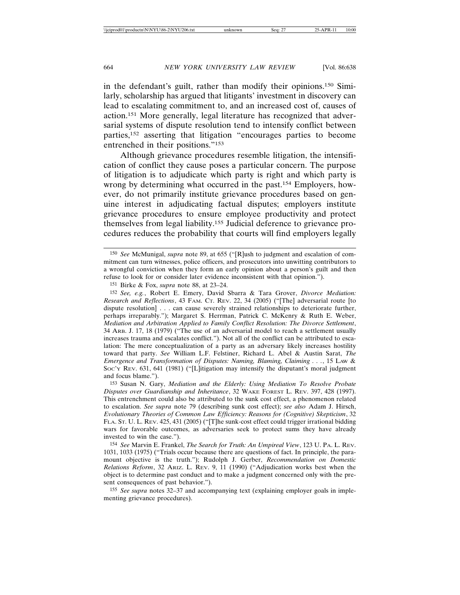in the defendant's guilt, rather than modify their opinions.150 Similarly, scholarship has argued that litigants' investment in discovery can lead to escalating commitment to, and an increased cost of, causes of action.151 More generally, legal literature has recognized that adversarial systems of dispute resolution tend to intensify conflict between parties,152 asserting that litigation "encourages parties to become entrenched in their positions."153

Although grievance procedures resemble litigation, the intensification of conflict they cause poses a particular concern. The purpose of litigation is to adjudicate which party is right and which party is wrong by determining what occurred in the past.154 Employers, however, do not primarily institute grievance procedures based on genuine interest in adjudicating factual disputes; employers institute grievance procedures to ensure employee productivity and protect themselves from legal liability.155 Judicial deference to grievance procedures reduces the probability that courts will find employers legally

151 Birke & Fox, *supra* note 88, at 23–24.

152 *See, e.g.*, Robert E. Emery, David Sbarra & Tara Grover, *Divorce Mediation: Research and Reflections*, 43 FAM. CT. REV. 22, 34 (2005) ("[The] adversarial route [to dispute resolution] . . . can cause severely strained relationships to deteriorate further, perhaps irreparably."); Margaret S. Herrman, Patrick C. McKenry & Ruth E. Weber, *Mediation and Arbitration Applied to Family Conflict Resolution: The Divorce Settlement*, 34 ARB. J. 17, 18 (1979) ("The use of an adversarial model to reach a settlement usually increases trauma and escalates conflict."). Not all of the conflict can be attributed to escalation: The mere conceptualization of a party as an adversary likely increases hostility toward that party. *See* William L.F. Felstiner, Richard L. Abel & Austin Sarat, *The Emergence and Transformation of Disputes: Naming, Blaming, Claiming . . .*, 15 LAW & SOC'Y REV. 631, 641 (1981) ("[L]itigation may intensify the disputant's moral judgment and focus blame.").

153 Susan N. Gary, *Mediation and the Elderly: Using Mediation To Resolve Probate Disputes over Guardianship and Inheritance*, 32 WAKE FOREST L. REV. 397, 428 (1997). This entrenchment could also be attributed to the sunk cost effect, a phenomenon related to escalation. *See supra* note 79 (describing sunk cost effect); *see also* Adam J. Hirsch, *Evolutionary Theories of Common Law Efficiency: Reasons for (Cognitive) Skepticism*, 32 FLA. ST. U. L. REV. 425, 431 (2005) ("[T]he sunk-cost effect could trigger irrational bidding wars for favorable outcomes, as adversaries seek to protect sums they have already invested to win the case.").

154 *See* Marvin E. Frankel, *The Search for Truth: An Umpireal View*, 123 U. PA. L. REV. 1031, 1033 (1975) ("Trials occur because there are questions of fact. In principle, the paramount objective is the truth."); Rudolph J. Gerber, *Recommendation on Domestic Relations Reform*, 32 ARIZ. L. REV. 9, 11 (1990) ("Adjudication works best when the object is to determine past conduct and to make a judgment concerned only with the present consequences of past behavior.").

155 *See supra* notes 32–37 and accompanying text (explaining employer goals in implementing grievance procedures).

<sup>150</sup> *See* McMunigal, *supra* note 89, at 655 ("[R]ush to judgment and escalation of commitment can turn witnesses, police officers, and prosecutors into unwitting contributors to a wrongful conviction when they form an early opinion about a person's guilt and then refuse to look for or consider later evidence inconsistent with that opinion.").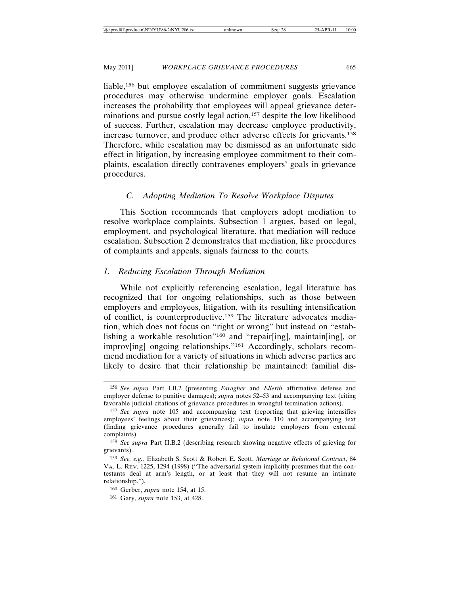liable,156 but employee escalation of commitment suggests grievance procedures may otherwise undermine employer goals. Escalation increases the probability that employees will appeal grievance determinations and pursue costly legal action,<sup>157</sup> despite the low likelihood of success. Further, escalation may decrease employee productivity, increase turnover, and produce other adverse effects for grievants.158 Therefore, while escalation may be dismissed as an unfortunate side effect in litigation, by increasing employee commitment to their complaints, escalation directly contravenes employers' goals in grievance procedures.

# *C. Adopting Mediation To Resolve Workplace Disputes*

This Section recommends that employers adopt mediation to resolve workplace complaints. Subsection 1 argues, based on legal, employment, and psychological literature, that mediation will reduce escalation. Subsection 2 demonstrates that mediation, like procedures of complaints and appeals, signals fairness to the courts.

# *1. Reducing Escalation Through Mediation*

While not explicitly referencing escalation, legal literature has recognized that for ongoing relationships, such as those between employers and employees, litigation, with its resulting intensification of conflict, is counterproductive.159 The literature advocates mediation, which does not focus on "right or wrong" but instead on "establishing a workable resolution"<sup>160</sup> and "repair[ing], maintain[ing], or improv[ing] ongoing relationships."161 Accordingly, scholars recommend mediation for a variety of situations in which adverse parties are likely to desire that their relationship be maintained: familial dis-

<sup>156</sup> *See supra* Part I.B.2 (presenting *Faragher* and *Ellerth* affirmative defense and employer defense to punitive damages); *supra* notes 52–53 and accompanying text (citing favorable judicial citations of grievance procedures in wrongful termination actions).

<sup>157</sup> *See supra* note 105 and accompanying text (reporting that grieving intensifies employees' feelings about their grievances); *supra* note 110 and accompanying text (finding grievance procedures generally fail to insulate employers from external complaints).

<sup>158</sup> *See supra* Part II.B.2 (describing research showing negative effects of grieving for grievants).

<sup>159</sup> *See, e.g.*, Elizabeth S. Scott & Robert E. Scott, *Marriage as Relational Contract*, 84 VA. L. REV. 1225, 1294 (1998) ("The adversarial system implicitly presumes that the contestants deal at arm's length, or at least that they will not resume an intimate relationship.").

<sup>160</sup> Gerber, *supra* note 154, at 15.

<sup>161</sup> Gary, *supra* note 153, at 428.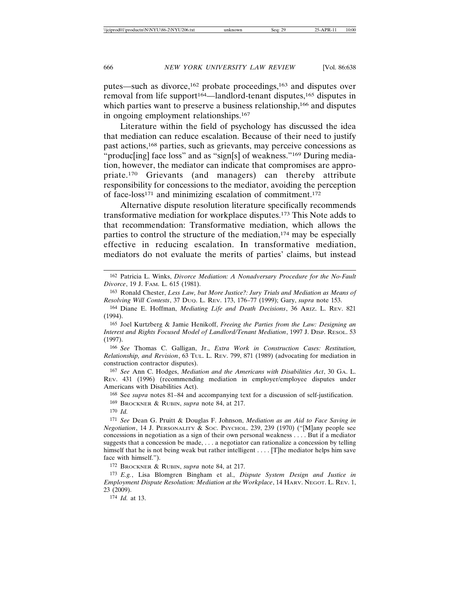putes—such as divorce,162 probate proceedings,163 and disputes over removal from life support<sup>164</sup>—landlord-tenant disputes,<sup>165</sup> disputes in which parties want to preserve a business relationship,<sup>166</sup> and disputes in ongoing employment relationships.167

Literature within the field of psychology has discussed the idea that mediation can reduce escalation. Because of their need to justify past actions,168 parties, such as grievants, may perceive concessions as "produc[ing] face loss" and as "sign[s] of weakness."<sup>169</sup> During mediation, however, the mediator can indicate that compromises are appropriate.170 Grievants (and managers) can thereby attribute responsibility for concessions to the mediator, avoiding the perception of face-loss171 and minimizing escalation of commitment.172

Alternative dispute resolution literature specifically recommends transformative mediation for workplace disputes.173 This Note adds to that recommendation: Transformative mediation, which allows the parties to control the structure of the mediation,<sup>174</sup> may be especially effective in reducing escalation. In transformative mediation, mediators do not evaluate the merits of parties' claims, but instead

165 Joel Kurtzberg & Jamie Henikoff, *Freeing the Parties from the Law: Designing an Interest and Rights Focused Model of Landlord/Tenant Mediation*, 1997 J. DISP. RESOL. 53 (1997).

166 *See* Thomas C. Galligan, Jr., *Extra Work in Construction Cases: Restitution, Relationship, and Revision*, 63 TUL. L. REV. 799, 871 (1989) (advocating for mediation in construction contractor disputes).

167 *See* Ann C. Hodges, *Mediation and the Americans with Disabilities Act*, 30 GA. L. REV. 431 (1996) (recommending mediation in employer/employee disputes under Americans with Disabilities Act).

168 See *supra* notes 81–84 and accompanying text for a discussion of self-justification.

169 BROCKNER & RUBIN, *supra* note 84, at 217.

171 *See* Dean G. Pruitt & Douglas F. Johnson, *Mediation as an Aid to Face Saving in Negotiation*, 14 J. PERSONALITY & SOC. PSYCHOL. 239, 239 (1970) ("[M]any people see concessions in negotiation as a sign of their own personal weakness . . . . But if a mediator suggests that a concession be made, . . . a negotiator can rationalize a concession by telling himself that he is not being weak but rather intelligent . . . . [T]he mediator helps him save face with himself.").

172 BROCKNER & RUBIN, *supra* note 84, at 217.

173 *E.g.*, Lisa Blomgren Bingham et al., *Dispute System Design and Justice in Employment Dispute Resolution: Mediation at the Workplace*, 14 HARV. NEGOT. L. REV. 1, 23 (2009).

174 *Id.* at 13.

<sup>162</sup> Patricia L. Winks, *Divorce Mediation: A Nonadversary Procedure for the No-Fault Divorce*, 19 J. FAM. L. 615 (1981).

<sup>163</sup> Ronald Chester, *Less Law, but More Justice?: Jury Trials and Mediation as Means of Resolving Will Contests*, 37 DUQ. L. REV. 173, 176–77 (1999); Gary, *supra* note 153.

<sup>164</sup> Diane E. Hoffman, *Mediating Life and Death Decisions*, 36 ARIZ. L. REV. 821 (1994).

<sup>170</sup> *Id.*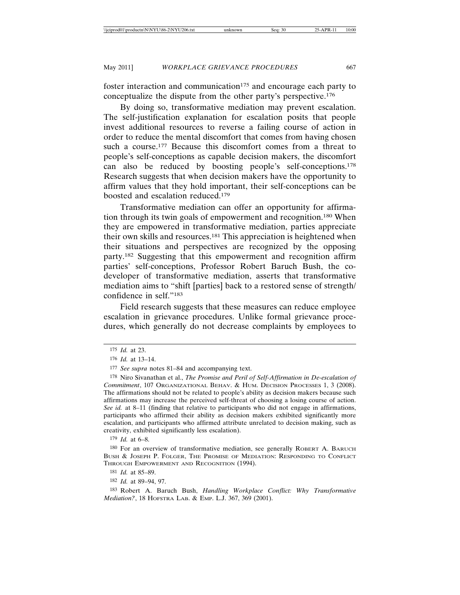foster interaction and communication $175$  and encourage each party to conceptualize the dispute from the other party's perspective.176

By doing so, transformative mediation may prevent escalation. The self-justification explanation for escalation posits that people invest additional resources to reverse a failing course of action in order to reduce the mental discomfort that comes from having chosen such a course.<sup>177</sup> Because this discomfort comes from a threat to people's self-conceptions as capable decision makers, the discomfort can also be reduced by boosting people's self-conceptions.178 Research suggests that when decision makers have the opportunity to affirm values that they hold important, their self-conceptions can be boosted and escalation reduced.179

Transformative mediation can offer an opportunity for affirmation through its twin goals of empowerment and recognition.180 When they are empowered in transformative mediation, parties appreciate their own skills and resources.181 This appreciation is heightened when their situations and perspectives are recognized by the opposing party.182 Suggesting that this empowerment and recognition affirm parties' self-conceptions, Professor Robert Baruch Bush, the codeveloper of transformative mediation, asserts that transformative mediation aims to "shift [parties] back to a restored sense of strength/ confidence in self."183

Field research suggests that these measures can reduce employee escalation in grievance procedures. Unlike formal grievance procedures, which generally do not decrease complaints by employees to

180 For an overview of transformative mediation, see generally ROBERT A. BARUCH BUSH & JOSEPH P. FOLGER, THE PROMISE OF MEDIATION: RESPONDING TO CONFLICT THROUGH EMPOWERMENT AND RECOGNITION (1994).

<sup>175</sup> *Id.* at 23.

<sup>176</sup> *Id.* at 13–14.

<sup>177</sup> *See supra* notes 81–84 and accompanying text.

<sup>178</sup> Niro Sivanathan et al., *The Promise and Peril of Self-Affirmation in De-escalation of Commitment*, 107 ORGANIZATIONAL BEHAV. & HUM. DECISION PROCESSES 1, 3 (2008). The affirmations should not be related to people's ability as decision makers because such affirmations may increase the perceived self-threat of choosing a losing course of action. *See id.* at 8–11 (finding that relative to participants who did not engage in affirmations, participants who affirmed their ability as decision makers exhibited significantly more escalation, and participants who affirmed attribute unrelated to decision making, such as creativity, exhibited significantly less escalation).

<sup>179</sup> *Id.* at 6–8.

<sup>181</sup> *Id.* at 85–89.

<sup>182</sup> *Id.* at 89–94, 97.

<sup>183</sup> Robert A. Baruch Bush, *Handling Workplace Conflict: Why Transformative Mediation?*, 18 HOFSTRA LAB. & EMP. L.J. 367, 369 (2001).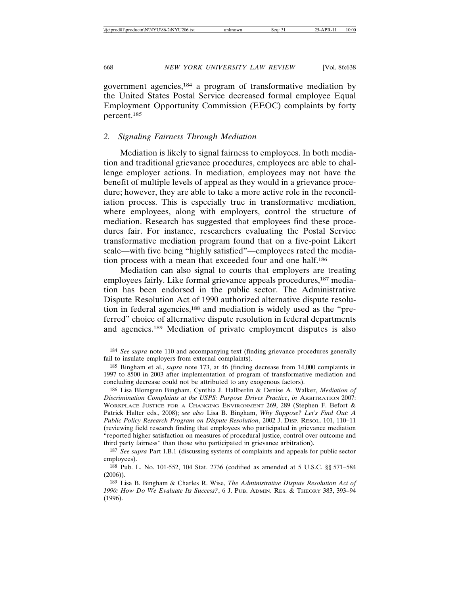government agencies,184 a program of transformative mediation by the United States Postal Service decreased formal employee Equal Employment Opportunity Commission (EEOC) complaints by forty percent.185

### *2. Signaling Fairness Through Mediation*

Mediation is likely to signal fairness to employees. In both mediation and traditional grievance procedures, employees are able to challenge employer actions. In mediation, employees may not have the benefit of multiple levels of appeal as they would in a grievance procedure; however, they are able to take a more active role in the reconciliation process. This is especially true in transformative mediation, where employees, along with employers, control the structure of mediation. Research has suggested that employees find these procedures fair. For instance, researchers evaluating the Postal Service transformative mediation program found that on a five-point Likert scale—with five being "highly satisfied"—employees rated the mediation process with a mean that exceeded four and one half.186

Mediation can also signal to courts that employers are treating employees fairly. Like formal grievance appeals procedures,<sup>187</sup> mediation has been endorsed in the public sector. The Administrative Dispute Resolution Act of 1990 authorized alternative dispute resolution in federal agencies,188 and mediation is widely used as the "preferred" choice of alternative dispute resolution in federal departments and agencies.189 Mediation of private employment disputes is also

<sup>184</sup> *See supra* note 110 and accompanying text (finding grievance procedures generally fail to insulate employers from external complaints).

<sup>185</sup> Bingham et al., *supra* note 173, at 46 (finding decrease from 14,000 complaints in 1997 to 8500 in 2003 after implementation of program of transformative mediation and concluding decrease could not be attributed to any exogenous factors).

<sup>186</sup> Lisa Blomgren Bingham, Cynthia J. Hallberlin & Denise A. Walker, *Mediation of Discrimination Complaints at the USPS: Purpose Drives Practice*, *in* ARBITRATION 2007: WORKPLACE JUSTICE FOR A CHANGING ENVIRONMENT 269, 289 (Stephen F. Befort & Patrick Halter eds., 2008); *see also* Lisa B. Bingham, *Why Suppose? Let's Find Out: A Public Policy Research Program on Dispute Resolution*, 2002 J. DISP. RESOL. 101, 110–11 (reviewing field research finding that employees who participated in grievance mediation "reported higher satisfaction on measures of procedural justice, control over outcome and third party fairness" than those who participated in grievance arbitration).

<sup>187</sup> *See supra* Part I.B.1 (discussing systems of complaints and appeals for public sector employees).

<sup>188</sup> Pub. L. No. 101-552, 104 Stat. 2736 (codified as amended at 5 U.S.C. §§ 571–584 (2006)).

<sup>189</sup> Lisa B. Bingham & Charles R. Wise, *The Administrative Dispute Resolution Act of 1990: How Do We Evaluate Its Success?*, 6 J. PUB. ADMIN. RES. & THEORY 383, 393–94 (1996).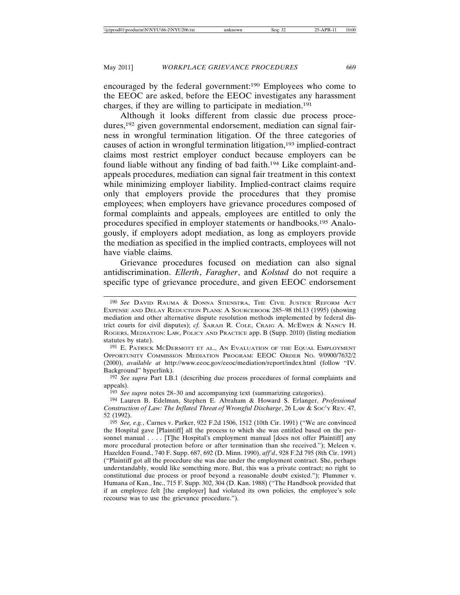encouraged by the federal government:190 Employees who come to the EEOC are asked, before the EEOC investigates any harassment charges, if they are willing to participate in mediation.191

Although it looks different from classic due process procedures,192 given governmental endorsement, mediation can signal fairness in wrongful termination litigation. Of the three categories of causes of action in wrongful termination litigation,193 implied-contract claims most restrict employer conduct because employers can be found liable without any finding of bad faith.194 Like complaint-andappeals procedures, mediation can signal fair treatment in this context while minimizing employer liability. Implied-contract claims require only that employers provide the procedures that they promise employees; when employers have grievance procedures composed of formal complaints and appeals, employees are entitled to only the procedures specified in employer statements or handbooks.195 Analogously, if employers adopt mediation, as long as employers provide the mediation as specified in the implied contracts, employees will not have viable claims.

Grievance procedures focused on mediation can also signal antidiscrimination. *Ellerth*, *Faragher*, and *Kolstad* do not require a specific type of grievance procedure, and given EEOC endorsement

193 *See supra* notes 28–30 and accompanying text (summarizing categories).

<sup>190</sup> *See* DAVID RAUMA & DONNA STIENSTRA, THE CIVIL JUSTICE REFORM ACT EXPENSE AND DELAY REDUCTION PLANS: A SOURCEBOOK 285–98 tbl.13 (1995) (showing mediation and other alternative dispute resolution methods implemented by federal district courts for civil disputes); *cf.* SARAH R. COLE, CRAIG A. MCEWEN & NANCY H. ROGERS, MEDIATION: LAW, POLICY AND PRACTICE app. B (Supp. 2010) (listing mediation statutes by state).

<sup>191</sup> E. PATRICK MCDERMOTT ET AL., AN EVALUATION OF THE EQUAL EMPLOYMENT OPPORTUNITY COMMISSION MEDIATION PROGRAM: EEOC ORDER NO. 9/0900/7632/2 (2000), *available at* http://www.eeoc.gov/eeoc/mediation/report/index.html (follow "IV. Background" hyperlink).

<sup>192</sup> *See supra* Part I.B.1 (describing due process procedures of formal complaints and appeals).

<sup>194</sup> Lauren B. Edelman, Stephen E. Abraham & Howard S. Erlanger, *Professional Construction of Law: The Inflated Threat of Wrongful Discharge*, 26 LAW & Soc'y Rev. 47, 52 (1992).

<sup>195</sup> *See, e.g.*, Carnes v. Parker, 922 F.2d 1506, 1512 (10th Cir. 1991) ("We are convinced the Hospital gave [Plaintiff] all the process to which she was entitled based on the personnel manual . . . . [T]he Hospital's employment manual [does not offer Plaintiff] any more procedural protection before or after termination than she received."); Meleen v. Hazelden Found., 740 F. Supp. 687, 692 (D. Minn. 1990), *aff'd*, 928 F.2d 795 (8th Cir. 1991) ("Plaintiff got all the procedure she was due under the employment contract. She, perhaps understandably, would like something more. But, this was a private contract; no right to constitutional due process or proof beyond a reasonable doubt existed."); Plummer v. Humana of Kan., Inc., 715 F. Supp. 302, 304 (D. Kan. 1988) ("The Handbook provided that if an employee felt [the employer] had violated its own policies, the employee's sole recourse was to use the grievance procedure.").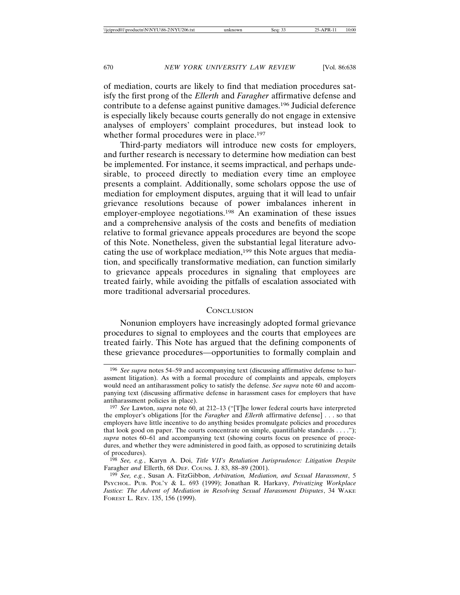of mediation, courts are likely to find that mediation procedures satisfy the first prong of the *Ellerth* and *Faragher* affirmative defense and contribute to a defense against punitive damages.196 Judicial deference is especially likely because courts generally do not engage in extensive analyses of employers' complaint procedures, but instead look to whether formal procedures were in place.<sup>197</sup>

Third-party mediators will introduce new costs for employers, and further research is necessary to determine how mediation can best be implemented. For instance, it seems impractical, and perhaps undesirable, to proceed directly to mediation every time an employee presents a complaint. Additionally, some scholars oppose the use of mediation for employment disputes, arguing that it will lead to unfair grievance resolutions because of power imbalances inherent in employer-employee negotiations.198 An examination of these issues and a comprehensive analysis of the costs and benefits of mediation relative to formal grievance appeals procedures are beyond the scope of this Note. Nonetheless, given the substantial legal literature advocating the use of workplace mediation,<sup>199</sup> this Note argues that mediation, and specifically transformative mediation, can function similarly to grievance appeals procedures in signaling that employees are treated fairly, while avoiding the pitfalls of escalation associated with more traditional adversarial procedures.

#### **CONCLUSION**

Nonunion employers have increasingly adopted formal grievance procedures to signal to employees and the courts that employees are treated fairly. This Note has argued that the defining components of these grievance procedures—opportunities to formally complain and

<sup>196</sup> *See supra* notes 54–59 and accompanying text (discussing affirmative defense to harassment litigation). As with a formal procedure of complaints and appeals, employers would need an antiharassment policy to satisfy the defense. *See supra* note 60 and accompanying text (discussing affirmative defense in harassment cases for employers that have antiharassment policies in place).

<sup>197</sup> *See* Lawton, *supra* note 60, at 212–13 ("[T]he lower federal courts have interpreted the employer's obligations [for the *Faragher* and *Ellerth* affirmative defense] . . . so that employers have little incentive to do anything besides promulgate policies and procedures that look good on paper. The courts concentrate on simple, quantifiable standards . . . ."); *supra* notes 60–61 and accompanying text (showing courts focus on presence of procedures, and whether they were administered in good faith, as opposed to scrutinizing details of procedures).

<sup>198</sup> *See, e.g.*, Karyn A. Doi, *Title VII's Retaliation Jurisprudence: Litigation Despite* Faragher *and* Ellerth, 68 DEF. COUNS. J. 83, 88–89 (2001).

<sup>199</sup> *See, e.g.*, Susan A. FitzGibbon, *Arbitration, Mediation, and Sexual Harassment*, 5 PSYCHOL. PUB. POL'Y & L. 693 (1999); Jonathan R. Harkavy, *Privatizing Workplace Justice: The Advent of Mediation in Resolving Sexual Harassment Disputes*, 34 WAKE FOREST L. REV. 135, 156 (1999).